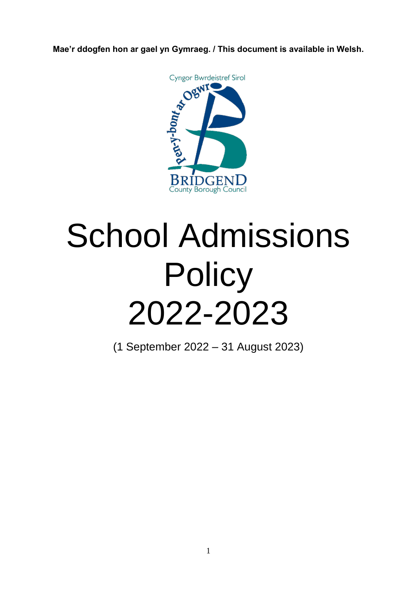**Mae'r ddogfen hon ar gael yn Gymraeg. / This document is available in Welsh.**



# School Admissions **Policy** 2022-2023

(1 September 2022 – 31 August 2023)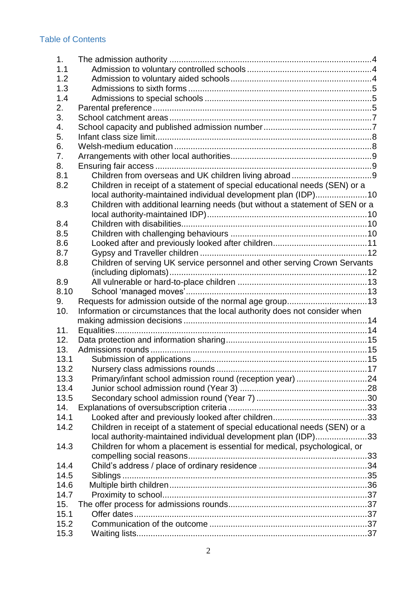# Table of Contents

| 1 <sub>1</sub> |                                                                              |  |
|----------------|------------------------------------------------------------------------------|--|
| 1.1            |                                                                              |  |
| 1.2            |                                                                              |  |
| 1.3            |                                                                              |  |
| 1.4            |                                                                              |  |
| 2.             |                                                                              |  |
| 3.             |                                                                              |  |
| 4.             |                                                                              |  |
| 5.             |                                                                              |  |
| 6.             |                                                                              |  |
| 7.             |                                                                              |  |
| 8.             |                                                                              |  |
| 8.1            |                                                                              |  |
| 8.2            | Children in receipt of a statement of special educational needs (SEN) or a   |  |
|                | local authority-maintained individual development plan (IDP)10               |  |
| 8.3            | Children with additional learning needs (but without a statement of SEN or a |  |
|                |                                                                              |  |
| 8.4            |                                                                              |  |
| 8.5            |                                                                              |  |
| 8.6            |                                                                              |  |
| 8.7            |                                                                              |  |
| 8.8            | Children of serving UK service personnel and other serving Crown Servants    |  |
|                |                                                                              |  |
| 8.9            |                                                                              |  |
| 8.10           |                                                                              |  |
| 9.             | Requests for admission outside of the normal age group 13                    |  |
| 10.            | Information or circumstances that the local authority does not consider when |  |
|                |                                                                              |  |
| 11.            |                                                                              |  |
| 12.            |                                                                              |  |
| 13.            |                                                                              |  |
| 13.1           |                                                                              |  |
|                |                                                                              |  |
|                |                                                                              |  |
| 13.2           |                                                                              |  |
| 13.3           | Primary/infant school admission round (reception year) 24                    |  |
| 13.4           |                                                                              |  |
| 13.5<br>14.    |                                                                              |  |
| 14.1           |                                                                              |  |
| 14.2           |                                                                              |  |
|                | Children in receipt of a statement of special educational needs (SEN) or a   |  |
|                | local authority-maintained individual development plan (IDP)33               |  |
| 14.3           | Children for whom a placement is essential for medical, psychological, or    |  |
|                |                                                                              |  |
| 14.4           |                                                                              |  |
| 14.5<br>14.6   |                                                                              |  |
| 14.7           |                                                                              |  |
| 15.            |                                                                              |  |
| 15.1           |                                                                              |  |
| 15.2           |                                                                              |  |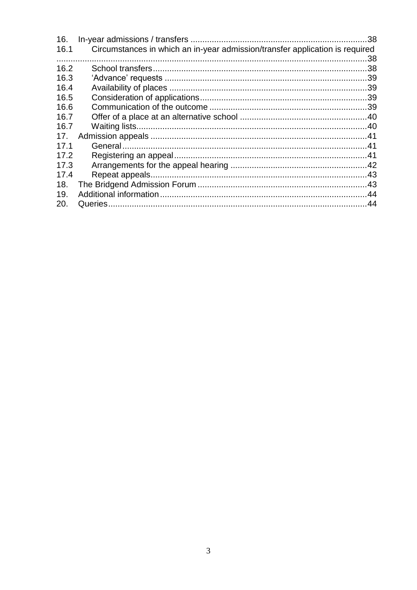| 16.  |                                                                              |  |
|------|------------------------------------------------------------------------------|--|
| 16.1 | Circumstances in which an in-year admission/transfer application is required |  |
| .    |                                                                              |  |
| 16.2 |                                                                              |  |
| 16.3 |                                                                              |  |
| 16.4 |                                                                              |  |
| 16.5 |                                                                              |  |
| 16.6 |                                                                              |  |
| 16.7 |                                                                              |  |
| 16.7 |                                                                              |  |
| 17.  |                                                                              |  |
| 17.1 |                                                                              |  |
| 17.2 |                                                                              |  |
| 17.3 |                                                                              |  |
| 17.4 |                                                                              |  |
| 18.  |                                                                              |  |
| 19.  |                                                                              |  |
| 20.  |                                                                              |  |
|      |                                                                              |  |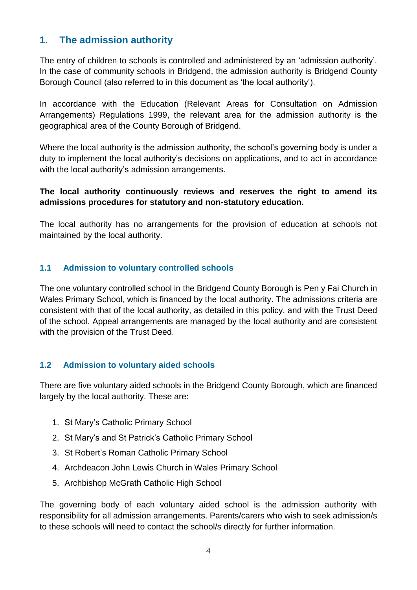# <span id="page-3-0"></span>**1. The admission authority**

The entry of children to schools is controlled and administered by an 'admission authority'. In the case of community schools in Bridgend, the admission authority is Bridgend County Borough Council (also referred to in this document as 'the local authority').

In accordance with the Education (Relevant Areas for Consultation on Admission Arrangements) Regulations 1999, the relevant area for the admission authority is the geographical area of the County Borough of Bridgend.

Where the local authority is the admission authority, the school's governing body is under a duty to implement the local authority's decisions on applications, and to act in accordance with the local authority's admission arrangements.

#### **The local authority continuously reviews and reserves the right to amend its admissions procedures for statutory and non-statutory education.**

The local authority has no arrangements for the provision of education at schools not maintained by the local authority.

#### <span id="page-3-1"></span>**1.1 Admission to voluntary controlled schools**

The one voluntary controlled school in the Bridgend County Borough is Pen y Fai Church in Wales Primary School, which is financed by the local authority. The admissions criteria are consistent with that of the local authority, as detailed in this policy, and with the Trust Deed of the school. Appeal arrangements are managed by the local authority and are consistent with the provision of the Trust Deed.

#### <span id="page-3-2"></span>**1.2 Admission to voluntary aided schools**

There are five voluntary aided schools in the Bridgend County Borough, which are financed largely by the local authority. These are:

- 1. St Mary's Catholic Primary School
- 2. St Mary's and St Patrick's Catholic Primary School
- 3. St Robert's Roman Catholic Primary School
- 4. Archdeacon John Lewis Church in Wales Primary School
- 5. Archbishop McGrath Catholic High School

The governing body of each voluntary aided school is the admission authority with responsibility for all admission arrangements. Parents/carers who wish to seek admission/s to these schools will need to contact the school/s directly for further information.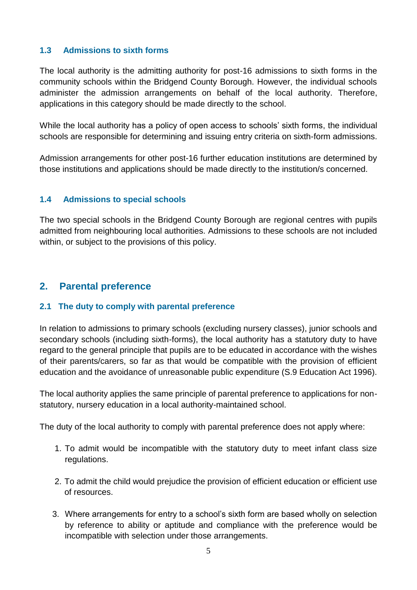#### <span id="page-4-0"></span>**1.3 Admissions to sixth forms**

The local authority is the admitting authority for post-16 admissions to sixth forms in the community schools within the Bridgend County Borough. However, the individual schools administer the admission arrangements on behalf of the local authority. Therefore, applications in this category should be made directly to the school.

While the local authority has a policy of open access to schools' sixth forms, the individual schools are responsible for determining and issuing entry criteria on sixth-form admissions.

Admission arrangements for other post-16 further education institutions are determined by those institutions and applications should be made directly to the institution/s concerned.

#### <span id="page-4-1"></span>**1.4 Admissions to special schools**

The two special schools in the Bridgend County Borough are regional centres with pupils admitted from neighbouring local authorities. Admissions to these schools are not included within, or subject to the provisions of this policy.

#### <span id="page-4-2"></span>**2. Parental preference**

#### **2.1 The duty to comply with parental preference**

In relation to admissions to primary schools (excluding nursery classes), junior schools and secondary schools (including sixth-forms), the local authority has a statutory duty to have regard to the general principle that pupils are to be educated in accordance with the wishes of their parents/carers, so far as that would be compatible with the provision of efficient education and the avoidance of unreasonable public expenditure (S.9 Education Act 1996).

The local authority applies the same principle of parental preference to applications for nonstatutory, nursery education in a local authority-maintained school.

The duty of the local authority to comply with parental preference does not apply where:

- 1. To admit would be incompatible with the statutory duty to meet infant class size regulations.
- 2. To admit the child would prejudice the provision of efficient education or efficient use of resources.
- 3. Where arrangements for entry to a school's sixth form are based wholly on selection by reference to ability or aptitude and compliance with the preference would be incompatible with selection under those arrangements.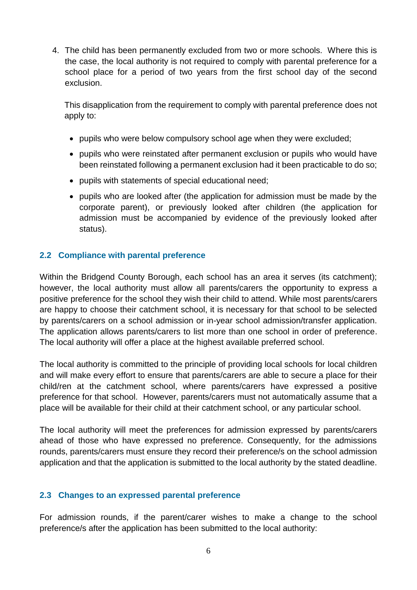4. The child has been permanently excluded from two or more schools. Where this is the case, the local authority is not required to comply with parental preference for a school place for a period of two years from the first school day of the second exclusion.

This disapplication from the requirement to comply with parental preference does not apply to:

- pupils who were below compulsory school age when they were excluded;
- pupils who were reinstated after permanent exclusion or pupils who would have been reinstated following a permanent exclusion had it been practicable to do so;
- pupils with statements of special educational need:
- pupils who are looked after (the application for admission must be made by the corporate parent), or previously looked after children (the application for admission must be accompanied by evidence of the previously looked after status).

#### **2.2 Compliance with parental preference**

Within the Bridgend County Borough, each school has an area it serves (its catchment); however, the local authority must allow all parents/carers the opportunity to express a positive preference for the school they wish their child to attend. While most parents/carers are happy to choose their catchment school, it is necessary for that school to be selected by parents/carers on a school admission or in-year school admission/transfer application. The application allows parents/carers to list more than one school in order of preference. The local authority will offer a place at the highest available preferred school.

The local authority is committed to the principle of providing local schools for local children and will make every effort to ensure that parents/carers are able to secure a place for their child/ren at the catchment school, where parents/carers have expressed a positive preference for that school. However, parents/carers must not automatically assume that a place will be available for their child at their catchment school, or any particular school.

The local authority will meet the preferences for admission expressed by parents/carers ahead of those who have expressed no preference. Consequently, for the admissions rounds, parents/carers must ensure they record their preference/s on the school admission application and that the application is submitted to the local authority by the stated deadline.

#### **2.3 Changes to an expressed parental preference**

For admission rounds, if the parent/carer wishes to make a change to the school preference/s after the application has been submitted to the local authority: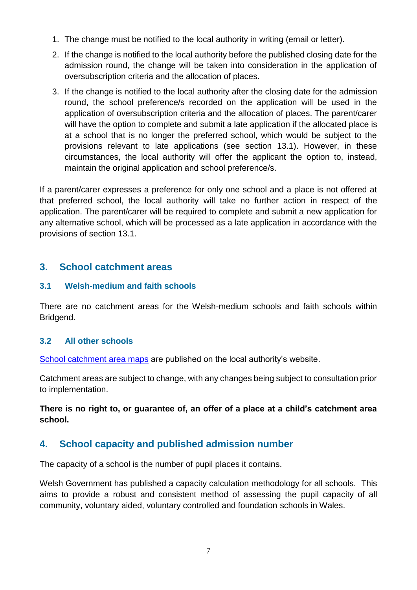- 1. The change must be notified to the local authority in writing (email or letter).
- 2. If the change is notified to the local authority before the published closing date for the admission round, the change will be taken into consideration in the application of oversubscription criteria and the allocation of places.
- 3. If the change is notified to the local authority after the closing date for the admission round, the school preference/s recorded on the application will be used in the application of oversubscription criteria and the allocation of places. The parent/carer will have the option to complete and submit a late application if the allocated place is at a school that is no longer the preferred school, which would be subject to the provisions relevant to late applications (see section 13.1). However, in these circumstances, the local authority will offer the applicant the option to, instead, maintain the original application and school preference/s.

If a parent/carer expresses a preference for only one school and a place is not offered at that preferred school, the local authority will take no further action in respect of the application. The parent/carer will be required to complete and submit a new application for any alternative school, which will be processed as a late application in accordance with the provisions of section 13.1.

# <span id="page-6-0"></span>**3. School catchment areas**

#### **3.1 Welsh-medium and faith schools**

There are no catchment areas for the Welsh-medium schools and faith schools within Bridgend.

## **3.2 All other schools**

[School catchment area maps](https://www.bridgend.gov.uk/residents/schools-and-education/school-admissions/school-catchment-areas/) are published on the local authority's website.

Catchment areas are subject to change, with any changes being subject to consultation prior to implementation.

#### **There is no right to, or guarantee of, an offer of a place at a child's catchment area school.**

# <span id="page-6-1"></span>**4. School capacity and published admission number**

The capacity of a school is the number of pupil places it contains.

Welsh Government has published a capacity calculation methodology for all schools. This aims to provide a robust and consistent method of assessing the pupil capacity of all community, voluntary aided, voluntary controlled and foundation schools in Wales.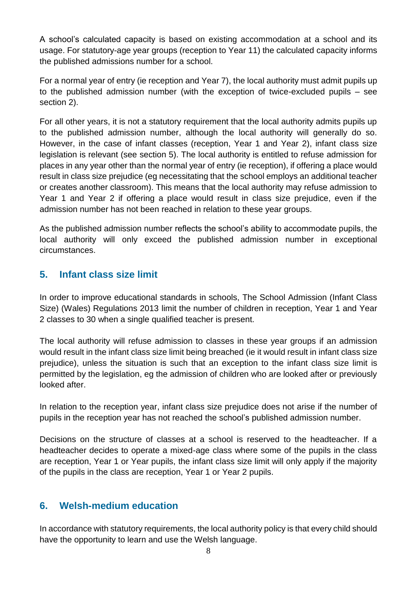A school's calculated capacity is based on existing accommodation at a school and its usage. For statutory-age year groups (reception to Year 11) the calculated capacity informs the published admissions number for a school.

For a normal year of entry (ie reception and Year 7), the local authority must admit pupils up to the published admission number (with the exception of twice-excluded pupils – see section 2).

For all other years, it is not a statutory requirement that the local authority admits pupils up to the published admission number, although the local authority will generally do so. However, in the case of infant classes (reception, Year 1 and Year 2), infant class size legislation is relevant (see section 5). The local authority is entitled to refuse admission for places in any year other than the normal year of entry (ie reception), if offering a place would result in class size prejudice (eg necessitating that the school employs an additional teacher or creates another classroom). This means that the local authority may refuse admission to Year 1 and Year 2 if offering a place would result in class size prejudice, even if the admission number has not been reached in relation to these year groups.

As the published admission number reflects the school's ability to accommodate pupils, the local authority will only exceed the published admission number in exceptional circumstances.

# <span id="page-7-0"></span>**5. Infant class size limit**

In order to improve educational standards in schools, The School Admission (Infant Class Size) (Wales) Regulations 2013 limit the number of children in reception, Year 1 and Year 2 classes to 30 when a single qualified teacher is present.

The local authority will refuse admission to classes in these year groups if an admission would result in the infant class size limit being breached (ie it would result in infant class size prejudice), unless the situation is such that an exception to the infant class size limit is permitted by the legislation, eg the admission of children who are looked after or previously looked after.

In relation to the reception year, infant class size prejudice does not arise if the number of pupils in the reception year has not reached the school's published admission number.

Decisions on the structure of classes at a school is reserved to the headteacher. If a headteacher decides to operate a mixed-age class where some of the pupils in the class are reception, Year 1 or Year pupils, the infant class size limit will only apply if the majority of the pupils in the class are reception, Year 1 or Year 2 pupils.

# <span id="page-7-1"></span>**6. Welsh-medium education**

In accordance with statutory requirements, the local authority policy is that every child should have the opportunity to learn and use the Welsh language.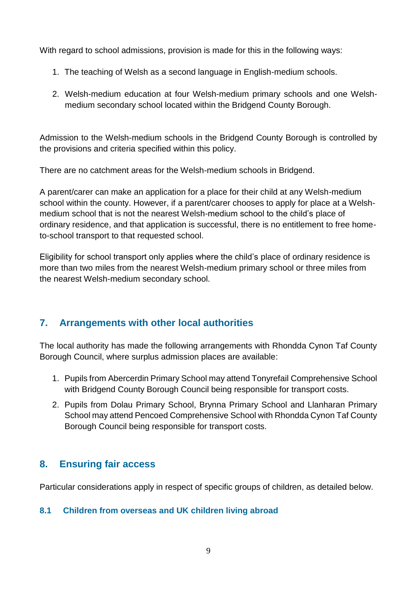With regard to school admissions, provision is made for this in the following ways:

- 1. The teaching of Welsh as a second language in English-medium schools.
- 2. Welsh-medium education at four Welsh-medium primary schools and one Welshmedium secondary school located within the Bridgend County Borough.

Admission to the Welsh-medium schools in the Bridgend County Borough is controlled by the provisions and criteria specified within this policy.

There are no catchment areas for the Welsh-medium schools in Bridgend.

A parent/carer can make an application for a place for their child at any Welsh-medium school within the county. However, if a parent/carer chooses to apply for place at a Welshmedium school that is not the nearest Welsh-medium school to the child's place of ordinary residence, and that application is successful, there is no entitlement to free hometo-school transport to that requested school.

Eligibility for school transport only applies where the child's place of ordinary residence is more than two miles from the nearest Welsh-medium primary school or three miles from the nearest Welsh-medium secondary school.

# <span id="page-8-0"></span>**7. Arrangements with other local authorities**

The local authority has made the following arrangements with Rhondda Cynon Taf County Borough Council, where surplus admission places are available:

- 1. Pupils from Abercerdin Primary School may attend Tonyrefail Comprehensive School with Bridgend County Borough Council being responsible for transport costs.
- 2. Pupils from Dolau Primary School, Brynna Primary School and Llanharan Primary School may attend Pencoed Comprehensive School with Rhondda Cynon Taf County Borough Council being responsible for transport costs.

# <span id="page-8-1"></span>**8. Ensuring fair access**

Particular considerations apply in respect of specific groups of children, as detailed below.

## <span id="page-8-2"></span>**8.1 Children from overseas and UK children living abroad**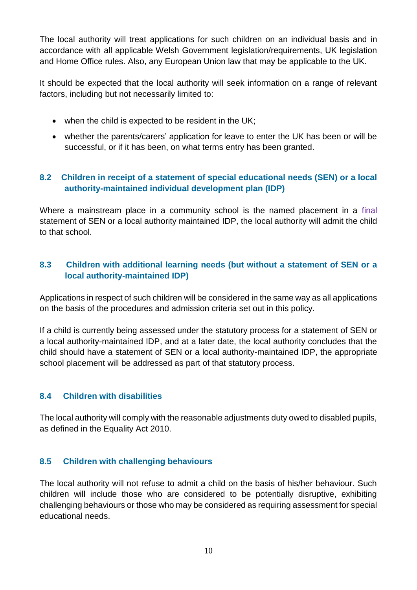The local authority will treat applications for such children on an individual basis and in accordance with all applicable Welsh Government legislation/requirements, UK legislation and Home Office rules. Also, any European Union law that may be applicable to the UK.

It should be expected that the local authority will seek information on a range of relevant factors, including but not necessarily limited to:

- when the child is expected to be resident in the UK;
- whether the parents/carers' application for leave to enter the UK has been or will be successful, or if it has been, on what terms entry has been granted.

# <span id="page-9-0"></span>**8.2 Children in receipt of a statement of special educational needs (SEN) or a local authority-maintained individual development plan (IDP)**

Where a mainstream place in a community school is the named placement in a final statement of SEN or a local authority maintained IDP, the local authority will admit the child to that school.

# <span id="page-9-1"></span>**8.3 Children with additional learning needs (but without a statement of SEN or a local authority-maintained IDP)**

Applications in respect of such children will be considered in the same way as all applications on the basis of the procedures and admission criteria set out in this policy.

If a child is currently being assessed under the statutory process for a statement of SEN or a local authority-maintained IDP, and at a later date, the local authority concludes that the child should have a statement of SEN or a local authority-maintained IDP, the appropriate school placement will be addressed as part of that statutory process.

## <span id="page-9-2"></span>**8.4 Children with disabilities**

The local authority will comply with the reasonable adjustments duty owed to disabled pupils, as defined in the Equality Act 2010.

## <span id="page-9-3"></span>**8.5 Children with challenging behaviours**

The local authority will not refuse to admit a child on the basis of his/her behaviour. Such children will include those who are considered to be potentially disruptive, exhibiting challenging behaviours or those who may be considered as requiring assessment for special educational needs.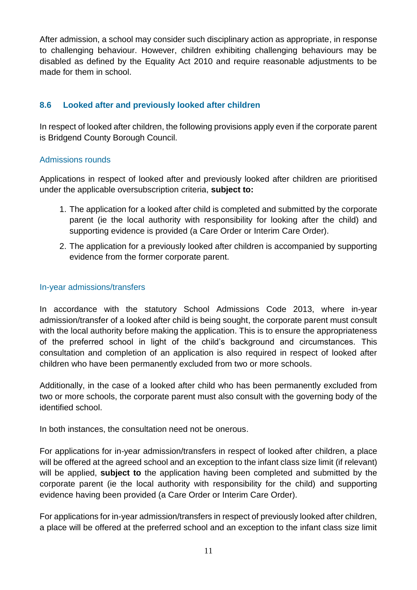After admission, a school may consider such disciplinary action as appropriate, in response to challenging behaviour. However, children exhibiting challenging behaviours may be disabled as defined by the Equality Act 2010 and require reasonable adjustments to be made for them in school.

#### <span id="page-10-0"></span>**8.6 Looked after and previously looked after children**

In respect of looked after children, the following provisions apply even if the corporate parent is Bridgend County Borough Council.

#### Admissions rounds

Applications in respect of looked after and previously looked after children are prioritised under the applicable oversubscription criteria, **subject to:** 

- 1. The application for a looked after child is completed and submitted by the corporate parent (ie the local authority with responsibility for looking after the child) and supporting evidence is provided (a Care Order or Interim Care Order).
- 2. The application for a previously looked after children is accompanied by supporting evidence from the former corporate parent.

#### In-year admissions/transfers

In accordance with the statutory School Admissions Code 2013, where in-year admission/transfer of a looked after child is being sought, the corporate parent must consult with the local authority before making the application. This is to ensure the appropriateness of the preferred school in light of the child's background and circumstances. This consultation and completion of an application is also required in respect of looked after children who have been permanently excluded from two or more schools.

Additionally, in the case of a looked after child who has been permanently excluded from two or more schools, the corporate parent must also consult with the governing body of the identified school.

In both instances, the consultation need not be onerous.

For applications for in-year admission/transfers in respect of looked after children, a place will be offered at the agreed school and an exception to the infant class size limit (if relevant) will be applied, **subject to** the application having been completed and submitted by the corporate parent (ie the local authority with responsibility for the child) and supporting evidence having been provided (a Care Order or Interim Care Order).

For applications for in-year admission/transfers in respect of previously looked after children, a place will be offered at the preferred school and an exception to the infant class size limit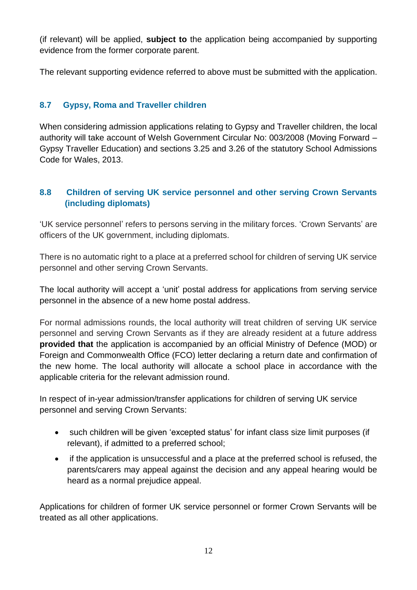(if relevant) will be applied, **subject to** the application being accompanied by supporting evidence from the former corporate parent.

The relevant supporting evidence referred to above must be submitted with the application.

# <span id="page-11-0"></span>**8.7 Gypsy, Roma and Traveller children**

When considering admission applications relating to Gypsy and Traveller children, the local authority will take account of Welsh Government Circular No: 003/2008 (Moving Forward – Gypsy Traveller Education) and sections 3.25 and 3.26 of the statutory School Admissions Code for Wales, 2013.

## <span id="page-11-1"></span>**8.8 Children of serving UK service personnel and other serving Crown Servants (including diplomats)**

'UK service personnel' refers to persons serving in the military forces. 'Crown Servants' are officers of the UK government, including diplomats.

There is no automatic right to a place at a preferred school for children of serving UK service personnel and other serving Crown Servants.

The local authority will accept a 'unit' postal address for applications from serving service personnel in the absence of a new home postal address.

For normal admissions rounds, the local authority will treat children of serving UK service personnel and serving Crown Servants as if they are already resident at a future address **provided that** the application is accompanied by an official Ministry of Defence (MOD) or Foreign and Commonwealth Office (FCO) letter declaring a return date and confirmation of the new home. The local authority will allocate a school place in accordance with the applicable criteria for the relevant admission round.

In respect of in-year admission/transfer applications for children of serving UK service personnel and serving Crown Servants:

- such children will be given 'excepted status' for infant class size limit purposes (if relevant), if admitted to a preferred school;
- if the application is unsuccessful and a place at the preferred school is refused, the parents/carers may appeal against the decision and any appeal hearing would be heard as a normal prejudice appeal.

Applications for children of former UK service personnel or former Crown Servants will be treated as all other applications.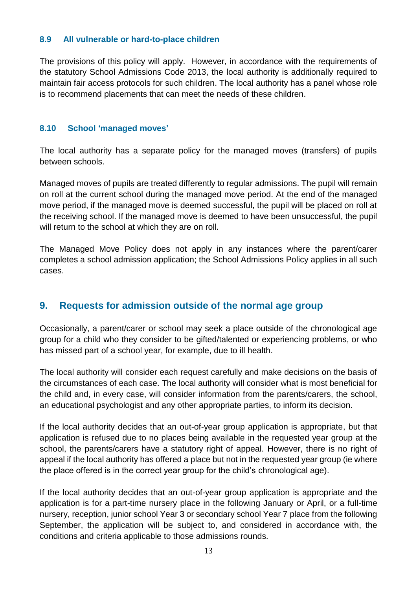#### <span id="page-12-0"></span>**8.9 All vulnerable or hard-to-place children**

The provisions of this policy will apply. However, in accordance with the requirements of the statutory School Admissions Code 2013, the local authority is additionally required to maintain fair access protocols for such children. The local authority has a panel whose role is to recommend placements that can meet the needs of these children.

#### <span id="page-12-1"></span>**8.10 School 'managed moves'**

The local authority has a separate policy for the managed moves (transfers) of pupils between schools.

Managed moves of pupils are treated differently to regular admissions. The pupil will remain on roll at the current school during the managed move period. At the end of the managed move period, if the managed move is deemed successful, the pupil will be placed on roll at the receiving school. If the managed move is deemed to have been unsuccessful, the pupil will return to the school at which they are on roll.

The Managed Move Policy does not apply in any instances where the parent/carer completes a school admission application; the School Admissions Policy applies in all such cases.

## <span id="page-12-2"></span>**9. Requests for admission outside of the normal age group**

Occasionally, a parent/carer or school may seek a place outside of the chronological age group for a child who they consider to be gifted/talented or experiencing problems, or who has missed part of a school year, for example, due to ill health.

The local authority will consider each request carefully and make decisions on the basis of the circumstances of each case. The local authority will consider what is most beneficial for the child and, in every case, will consider information from the parents/carers, the school, an educational psychologist and any other appropriate parties, to inform its decision.

If the local authority decides that an out-of-year group application is appropriate, but that application is refused due to no places being available in the requested year group at the school, the parents/carers have a statutory right of appeal. However, there is no right of appeal if the local authority has offered a place but not in the requested year group (ie where the place offered is in the correct year group for the child's chronological age).

If the local authority decides that an out-of-year group application is appropriate and the application is for a part-time nursery place in the following January or April, or a full-time nursery, reception, junior school Year 3 or secondary school Year 7 place from the following September, the application will be subject to, and considered in accordance with, the conditions and criteria applicable to those admissions rounds.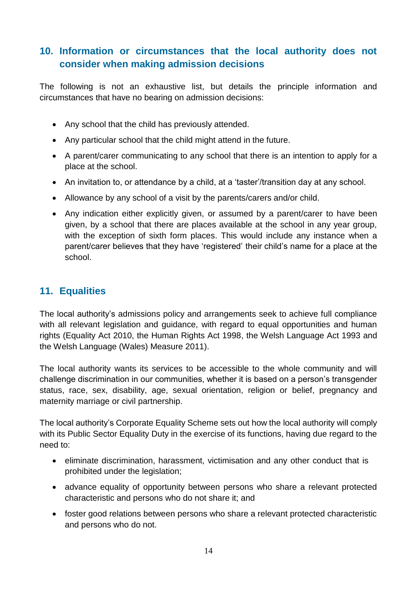# <span id="page-13-0"></span>**10. Information or circumstances that the local authority does not consider when making admission decisions**

The following is not an exhaustive list, but details the principle information and circumstances that have no bearing on admission decisions:

- Any school that the child has previously attended.
- Any particular school that the child might attend in the future.
- A parent/carer communicating to any school that there is an intention to apply for a place at the school.
- An invitation to, or attendance by a child, at a 'taster'/transition day at any school.
- Allowance by any school of a visit by the parents/carers and/or child.
- Any indication either explicitly given, or assumed by a parent/carer to have been given, by a school that there are places available at the school in any year group, with the exception of sixth form places. This would include any instance when a parent/carer believes that they have 'registered' their child's name for a place at the school.

# <span id="page-13-1"></span>**11. Equalities**

The local authority's admissions policy and arrangements seek to achieve full compliance with all relevant legislation and guidance, with regard to equal opportunities and human rights (Equality Act 2010, the Human Rights Act 1998, the Welsh Language Act 1993 and the Welsh Language (Wales) Measure 2011).

The local authority wants its services to be accessible to the whole community and will challenge discrimination in our communities, whether it is based on a person's transgender status, race, sex, disability, age, sexual orientation, religion or belief, pregnancy and maternity marriage or civil partnership.

The local authority's Corporate Equality Scheme sets out how the local authority will comply with its Public Sector Equality Duty in the exercise of its functions, having due regard to the need to:

- eliminate discrimination, harassment, victimisation and any other conduct that is prohibited under the legislation;
- advance equality of opportunity between persons who share a relevant protected characteristic and persons who do not share it; and
- foster good relations between persons who share a relevant protected characteristic and persons who do not.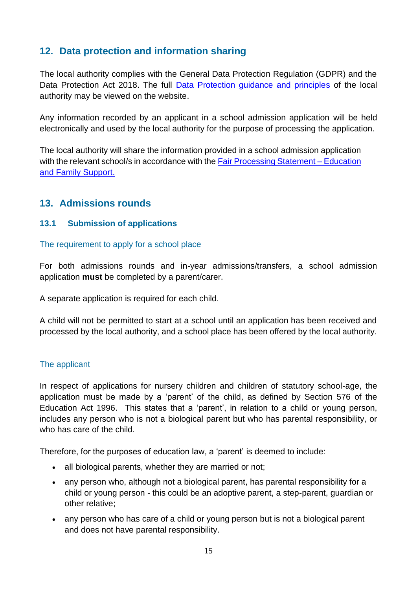# <span id="page-14-0"></span>**12. Data protection and information sharing**

The local authority complies with the General Data Protection Regulation (GDPR) and the Data Protection Act 2018. The full [Data Protection guidance and principles](https://www.bridgend.gov.uk/my-council/freedom-of-information/data-protection/) of the local authority may be viewed on the website.

Any information recorded by an applicant in a school admission application will be held electronically and used by the local authority for the purpose of processing the application.

The local authority will share the information provided in a school admission application with the relevant school/s in accordance with the [Fair Processing Statement –](https://www.bridgend.gov.uk/my-council/freedom-of-information/data-protection/) Education [and Family Support.](https://www.bridgend.gov.uk/my-council/freedom-of-information/data-protection/)

# <span id="page-14-1"></span>**13. Admissions rounds**

#### <span id="page-14-2"></span>**13.1 Submission of applications**

#### The requirement to apply for a school place

For both admissions rounds and in-year admissions/transfers, a school admission application **must** be completed by a parent/carer.

A separate application is required for each child.

A child will not be permitted to start at a school until an application has been received and processed by the local authority, and a school place has been offered by the local authority.

#### The applicant

In respect of applications for nursery children and children of statutory school-age, the application must be made by a 'parent' of the child, as defined by Section 576 of the Education Act 1996. This states that a 'parent', in relation to a child or young person, includes any person who is not a biological parent but who has parental responsibility, or who has care of the child.

Therefore, for the purposes of education law, a 'parent' is deemed to include:

- all biological parents, whether they are married or not;
- any person who, although not a biological parent, has parental responsibility for a child or young person - this could be an adoptive parent, a step-parent, guardian or other relative;
- any person who has care of a child or young person but is not a biological parent and does not have parental responsibility.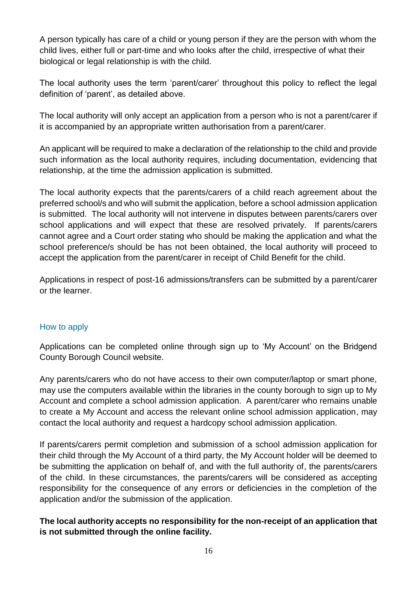A person typically has care of a child or young person if they are the person with whom the child lives, either full or part-time and who looks after the child, irrespective of what their biological or legal relationship is with the child.

The local authority uses the term 'parent/carer' throughout this policy to reflect the legal definition of 'parent', as detailed above.

The local authority will only accept an application from a person who is not a parent/carer if it is accompanied by an appropriate written authorisation from a parent/carer.

An applicant will be required to make a declaration of the relationship to the child and provide such information as the local authority requires, including documentation, evidencing that relationship, at the time the admission application is submitted.

The local authority expects that the parents/carers of a child reach agreement about the preferred school/s and who will submit the application, before a school admission application is submitted. The local authority will not intervene in disputes between parents/carers over school applications and will expect that these are resolved privately. If parents/carers cannot agree and a Court order stating who should be making the application and what the school preference/s should be has not been obtained, the local authority will proceed to accept the application from the parent/carer in receipt of Child Benefit for the child.

Applications in respect of post-16 admissions/transfers can be submitted by a parent/carer or the learner.

#### How to apply

Applications can be completed online through sign up to 'My Account' on the Bridgend County Borough Council website.

Any parents/carers who do not have access to their own computer/laptop or smart phone, may use the computers available within the libraries in the county borough to sign up to My Account and complete a school admission application. A parent/carer who remains unable to create a My Account and access the relevant online school admission application, may contact the local authority and request a hardcopy school admission application.

If parents/carers permit completion and submission of a school admission application for their child through the My Account of a third party, the My Account holder will be deemed to be submitting the application on behalf of, and with the full authority of, the parents/carers of the child. In these circumstances, the parents/carers will be considered as accepting responsibility for the consequence of any errors or deficiencies in the completion of the application and/or the submission of the application.

#### **The local authority accepts no responsibility for the non-receipt of an application that is not submitted through the online facility.**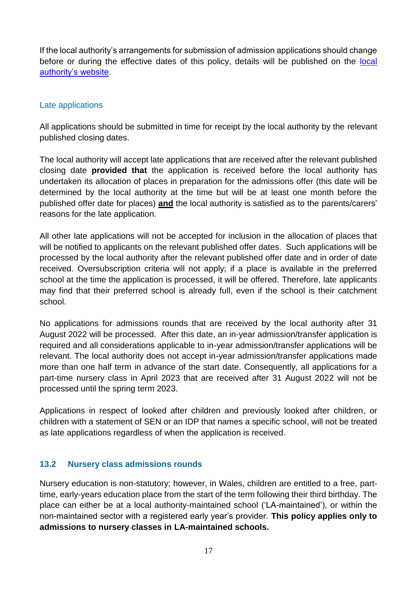If the local authority's arrangements for submission of admission applications should change before or during the effective dates of this policy, details will be published on the [local](https://www.bridgend.gov.uk/residents/schools-and-education/school-admissions/apply-for-admission-to-school/)  [authority's website.](https://www.bridgend.gov.uk/residents/schools-and-education/school-admissions/apply-for-admission-to-school/)

#### Late applications

All applications should be submitted in time for receipt by the local authority by the relevant published closing dates.

The local authority will accept late applications that are received after the relevant published closing date **provided that** the application is received before the local authority has undertaken its allocation of places in preparation for the admissions offer (this date will be determined by the local authority at the time but will be at least one month before the published offer date for places) **and** the local authority is satisfied as to the parents/carers' reasons for the late application.

All other late applications will not be accepted for inclusion in the allocation of places that will be notified to applicants on the relevant published offer dates. Such applications will be processed by the local authority after the relevant published offer date and in order of date received. Oversubscription criteria will not apply; if a place is available in the preferred school at the time the application is processed, it will be offered. Therefore, late applicants may find that their preferred school is already full, even if the school is their catchment school.

No applications for admissions rounds that are received by the local authority after 31 August 2022 will be processed. After this date, an in-year admission/transfer application is required and all considerations applicable to in-year admission/transfer applications will be relevant. The local authority does not accept in-year admission/transfer applications made more than one half term in advance of the start date. Consequently, all applications for a part-time nursery class in April 2023 that are received after 31 August 2022 will not be processed until the spring term 2023.

Applications in respect of looked after children and previously looked after children, or children with a statement of SEN or an IDP that names a specific school, will not be treated as late applications regardless of when the application is received.

#### <span id="page-16-0"></span>**13.2 Nursery class admissions rounds**

Nursery education is non-statutory; however, in Wales, children are entitled to a free, parttime, early-years education place from the start of the term following their third birthday. The place can either be at a local authority-maintained school ('LA-maintained'), or within the non-maintained sector with a registered early year's provider. **This policy applies only to admissions to nursery classes in LA-maintained schools.**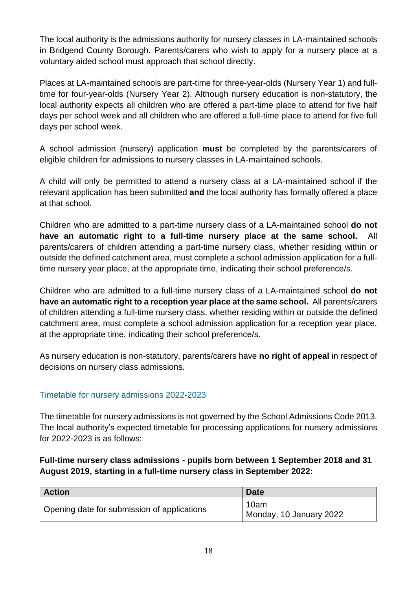The local authority is the admissions authority for nursery classes in LA-maintained schools in Bridgend County Borough. Parents/carers who wish to apply for a nursery place at a voluntary aided school must approach that school directly.

Places at LA-maintained schools are part-time for three-year-olds (Nursery Year 1) and fulltime for four-year-olds (Nursery Year 2). Although nursery education is non-statutory, the local authority expects all children who are offered a part-time place to attend for five half days per school week and all children who are offered a full-time place to attend for five full days per school week.

A school admission (nursery) application **must** be completed by the parents/carers of eligible children for admissions to nursery classes in LA-maintained schools.

A child will only be permitted to attend a nursery class at a LA-maintained school if the relevant application has been submitted **and** the local authority has formally offered a place at that school.

Children who are admitted to a part-time nursery class of a LA-maintained school **do not have an automatic right to a full-time nursery place at the same school.** All parents/carers of children attending a part-time nursery class, whether residing within or outside the defined catchment area, must complete a school admission application for a fulltime nursery year place, at the appropriate time, indicating their school preference/s.

Children who are admitted to a full-time nursery class of a LA-maintained school **do not have an automatic right to a reception year place at the same school.** All parents/carers of children attending a full-time nursery class, whether residing within or outside the defined catchment area, must complete a school admission application for a reception year place, at the appropriate time, indicating their school preference/s.

As nursery education is non-statutory, parents/carers have **no right of appeal** in respect of decisions on nursery class admissions.

## Timetable for nursery admissions 2022-2023

The timetable for nursery admissions is not governed by the School Admissions Code 2013. The local authority's expected timetable for processing applications for nursery admissions for 2022-2023 is as follows:

#### **Full-time nursery class admissions - pupils born between 1 September 2018 and 31 August 2019, starting in a full-time nursery class in September 2022:**

| <b>Action</b>                               | <b>Date</b>                     |
|---------------------------------------------|---------------------------------|
| Opening date for submission of applications | 10am<br>Monday, 10 January 2022 |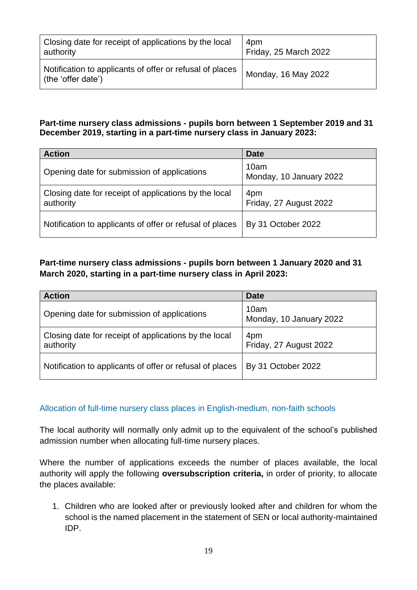| Closing date for receipt of applications by the local                          | 4pm                   |
|--------------------------------------------------------------------------------|-----------------------|
| authority                                                                      | Friday, 25 March 2022 |
| Notification to applicants of offer or refusal of places<br>(the 'offer date') | Monday, 16 May 2022   |

#### **Part-time nursery class admissions - pupils born between 1 September 2019 and 31 December 2019, starting in a part-time nursery class in January 2023:**

| <b>Action</b>                                                      | <b>Date</b>                     |
|--------------------------------------------------------------------|---------------------------------|
| Opening date for submission of applications                        | 10am<br>Monday, 10 January 2022 |
| Closing date for receipt of applications by the local<br>authority | 4pm<br>Friday, 27 August 2022   |
| Notification to applicants of offer or refusal of places           | By 31 October 2022              |

## **Part-time nursery class admissions - pupils born between 1 January 2020 and 31 March 2020, starting in a part-time nursery class in April 2023:**

| <b>Action</b>                                                      | <b>Date</b>                     |
|--------------------------------------------------------------------|---------------------------------|
| Opening date for submission of applications                        | 10am<br>Monday, 10 January 2022 |
| Closing date for receipt of applications by the local<br>authority | 4pm<br>Friday, 27 August 2022   |
| Notification to applicants of offer or refusal of places           | By 31 October 2022              |

#### Allocation of full-time nursery class places in English-medium, non-faith schools

The local authority will normally only admit up to the equivalent of the school's published admission number when allocating full-time nursery places.

Where the number of applications exceeds the number of places available, the local authority will apply the following **oversubscription criteria,** in order of priority, to allocate the places available:

1. Children who are looked after or previously looked after and children for whom the school is the named placement in the statement of SEN or local authority-maintained IDP.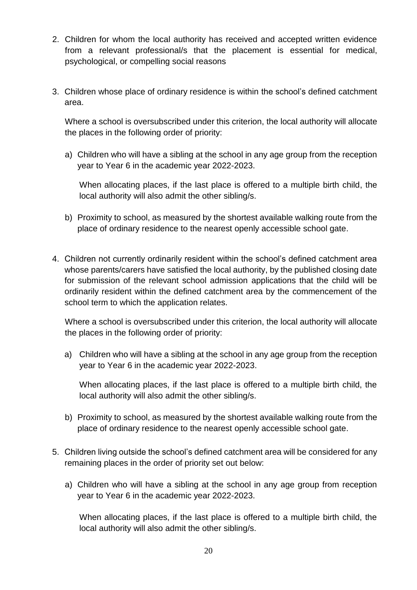- 2. Children for whom the local authority has received and accepted written evidence from a relevant professional/s that the placement is essential for medical, psychological, or compelling social reasons
- 3. Children whose place of ordinary residence is within the school's defined catchment area.

Where a school is oversubscribed under this criterion, the local authority will allocate the places in the following order of priority:

a) Children who will have a sibling at the school in any age group from the reception year to Year 6 in the academic year 2022-2023.

When allocating places, if the last place is offered to a multiple birth child, the local authority will also admit the other sibling/s.

- b) Proximity to school, as measured by the shortest available walking route from the place of ordinary residence to the nearest openly accessible school gate.
- 4. Children not currently ordinarily resident within the school's defined catchment area whose parents/carers have satisfied the local authority, by the published closing date for submission of the relevant school admission applications that the child will be ordinarily resident within the defined catchment area by the commencement of the school term to which the application relates.

Where a school is oversubscribed under this criterion, the local authority will allocate the places in the following order of priority:

a) Children who will have a sibling at the school in any age group from the reception year to Year 6 in the academic year 2022-2023.

When allocating places, if the last place is offered to a multiple birth child, the local authority will also admit the other sibling/s.

- b) Proximity to school, as measured by the shortest available walking route from the place of ordinary residence to the nearest openly accessible school gate.
- 5. Children living outside the school's defined catchment area will be considered for any remaining places in the order of priority set out below:
	- a) Children who will have a sibling at the school in any age group from reception year to Year 6 in the academic year 2022-2023.

When allocating places, if the last place is offered to a multiple birth child, the local authority will also admit the other sibling/s.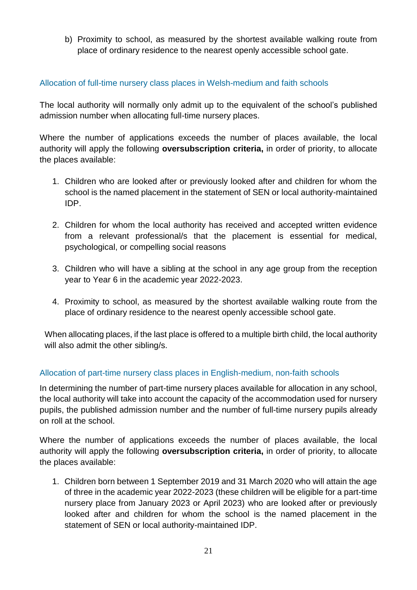b) Proximity to school, as measured by the shortest available walking route from place of ordinary residence to the nearest openly accessible school gate.

#### Allocation of full-time nursery class places in Welsh-medium and faith schools

The local authority will normally only admit up to the equivalent of the school's published admission number when allocating full-time nursery places.

Where the number of applications exceeds the number of places available, the local authority will apply the following **oversubscription criteria,** in order of priority, to allocate the places available:

- 1. Children who are looked after or previously looked after and children for whom the school is the named placement in the statement of SEN or local authority-maintained IDP.
- 2. Children for whom the local authority has received and accepted written evidence from a relevant professional/s that the placement is essential for medical, psychological, or compelling social reasons
- 3. Children who will have a sibling at the school in any age group from the reception year to Year 6 in the academic year 2022-2023.
- 4. Proximity to school, as measured by the shortest available walking route from the place of ordinary residence to the nearest openly accessible school gate.

When allocating places, if the last place is offered to a multiple birth child, the local authority will also admit the other sibling/s.

## Allocation of part-time nursery class places in English-medium, non-faith schools

In determining the number of part-time nursery places available for allocation in any school, the local authority will take into account the capacity of the accommodation used for nursery pupils, the published admission number and the number of full-time nursery pupils already on roll at the school.

Where the number of applications exceeds the number of places available, the local authority will apply the following **oversubscription criteria,** in order of priority, to allocate the places available:

1. Children born between 1 September 2019 and 31 March 2020 who will attain the age of three in the academic year 2022-2023 (these children will be eligible for a part-time nursery place from January 2023 or April 2023) who are looked after or previously looked after and children for whom the school is the named placement in the statement of SEN or local authority-maintained IDP.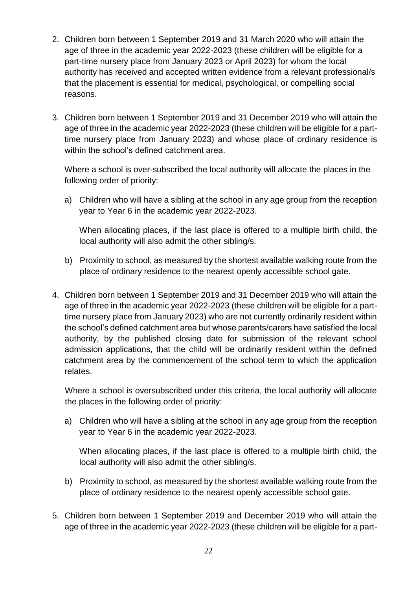- 2. Children born between 1 September 2019 and 31 March 2020 who will attain the age of three in the academic year 2022-2023 (these children will be eligible for a part-time nursery place from January 2023 or April 2023) for whom the local authority has received and accepted written evidence from a relevant professional/s that the placement is essential for medical, psychological, or compelling social reasons.
- 3. Children born between 1 September 2019 and 31 December 2019 who will attain the age of three in the academic year 2022-2023 (these children will be eligible for a parttime nursery place from January 2023) and whose place of ordinary residence is within the school's defined catchment area.

Where a school is over-subscribed the local authority will allocate the places in the following order of priority:

a) Children who will have a sibling at the school in any age group from the reception year to Year 6 in the academic year 2022-2023.

When allocating places, if the last place is offered to a multiple birth child, the local authority will also admit the other sibling/s.

- b) Proximity to school, as measured by the shortest available walking route from the place of ordinary residence to the nearest openly accessible school gate.
- 4. Children born between 1 September 2019 and 31 December 2019 who will attain the age of three in the academic year 2022-2023 (these children will be eligible for a parttime nursery place from January 2023) who are not currently ordinarily resident within the school's defined catchment area but whose parents/carers have satisfied the local authority, by the published closing date for submission of the relevant school admission applications, that the child will be ordinarily resident within the defined catchment area by the commencement of the school term to which the application relates.

Where a school is oversubscribed under this criteria, the local authority will allocate the places in the following order of priority:

a) Children who will have a sibling at the school in any age group from the reception year to Year 6 in the academic year 2022-2023.

When allocating places, if the last place is offered to a multiple birth child, the local authority will also admit the other sibling/s.

- b) Proximity to school, as measured by the shortest available walking route from the place of ordinary residence to the nearest openly accessible school gate.
- 5. Children born between 1 September 2019 and December 2019 who will attain the age of three in the academic year 2022-2023 (these children will be eligible for a part-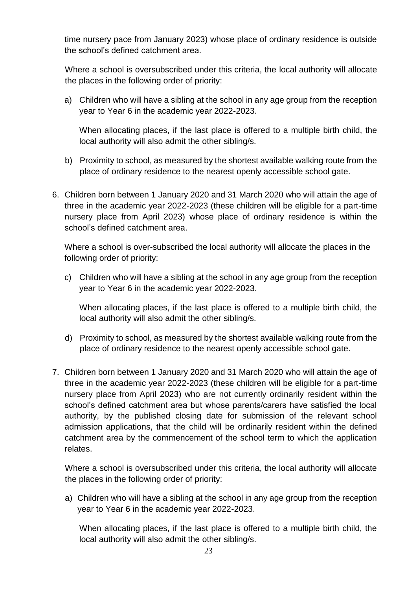time nursery pace from January 2023) whose place of ordinary residence is outside the school's defined catchment area.

Where a school is oversubscribed under this criteria, the local authority will allocate the places in the following order of priority:

a) Children who will have a sibling at the school in any age group from the reception year to Year 6 in the academic year 2022-2023.

When allocating places, if the last place is offered to a multiple birth child, the local authority will also admit the other sibling/s.

- b) Proximity to school, as measured by the shortest available walking route from the place of ordinary residence to the nearest openly accessible school gate.
- 6. Children born between 1 January 2020 and 31 March 2020 who will attain the age of three in the academic year 2022-2023 (these children will be eligible for a part-time nursery place from April 2023) whose place of ordinary residence is within the school's defined catchment area.

Where a school is over-subscribed the local authority will allocate the places in the following order of priority:

c) Children who will have a sibling at the school in any age group from the reception year to Year 6 in the academic year 2022-2023.

When allocating places, if the last place is offered to a multiple birth child, the local authority will also admit the other sibling/s.

- d) Proximity to school, as measured by the shortest available walking route from the place of ordinary residence to the nearest openly accessible school gate.
- 7. Children born between 1 January 2020 and 31 March 2020 who will attain the age of three in the academic year 2022-2023 (these children will be eligible for a part-time nursery place from April 2023) who are not currently ordinarily resident within the school's defined catchment area but whose parents/carers have satisfied the local authority, by the published closing date for submission of the relevant school admission applications, that the child will be ordinarily resident within the defined catchment area by the commencement of the school term to which the application relates.

Where a school is oversubscribed under this criteria, the local authority will allocate the places in the following order of priority:

a) Children who will have a sibling at the school in any age group from the reception year to Year 6 in the academic year 2022-2023.

When allocating places, if the last place is offered to a multiple birth child, the local authority will also admit the other sibling/s.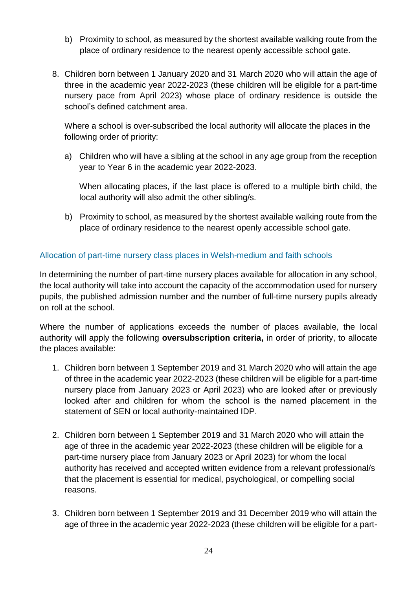- b) Proximity to school, as measured by the shortest available walking route from the place of ordinary residence to the nearest openly accessible school gate.
- 8. Children born between 1 January 2020 and 31 March 2020 who will attain the age of three in the academic year 2022-2023 (these children will be eligible for a part-time nursery pace from April 2023) whose place of ordinary residence is outside the school's defined catchment area.

Where a school is over-subscribed the local authority will allocate the places in the following order of priority:

a) Children who will have a sibling at the school in any age group from the reception year to Year 6 in the academic year 2022-2023.

When allocating places, if the last place is offered to a multiple birth child, the local authority will also admit the other sibling/s.

b) Proximity to school, as measured by the shortest available walking route from the place of ordinary residence to the nearest openly accessible school gate.

#### <span id="page-23-0"></span>Allocation of part-time nursery class places in Welsh-medium and faith schools

In determining the number of part-time nursery places available for allocation in any school, the local authority will take into account the capacity of the accommodation used for nursery pupils, the published admission number and the number of full-time nursery pupils already on roll at the school.

Where the number of applications exceeds the number of places available, the local authority will apply the following **oversubscription criteria,** in order of priority, to allocate the places available:

- 1. Children born between 1 September 2019 and 31 March 2020 who will attain the age of three in the academic year 2022-2023 (these children will be eligible for a part-time nursery place from January 2023 or April 2023) who are looked after or previously looked after and children for whom the school is the named placement in the statement of SEN or local authority-maintained IDP.
- 2. Children born between 1 September 2019 and 31 March 2020 who will attain the age of three in the academic year 2022-2023 (these children will be eligible for a part-time nursery place from January 2023 or April 2023) for whom the local authority has received and accepted written evidence from a relevant professional/s that the placement is essential for medical, psychological, or compelling social reasons.
- 3. Children born between 1 September 2019 and 31 December 2019 who will attain the age of three in the academic year 2022-2023 (these children will be eligible for a part-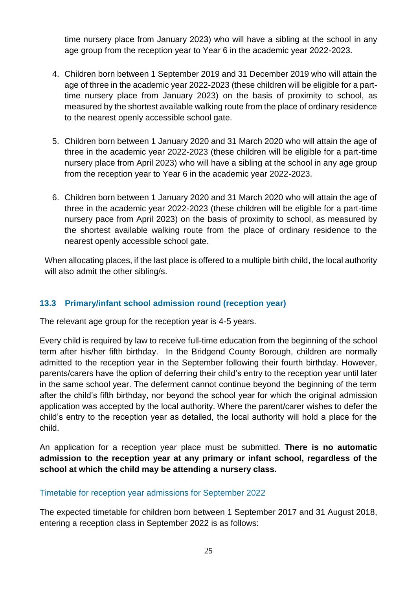time nursery place from January 2023) who will have a sibling at the school in any age group from the reception year to Year 6 in the academic year 2022-2023.

- 4. Children born between 1 September 2019 and 31 December 2019 who will attain the age of three in the academic year 2022-2023 (these children will be eligible for a parttime nursery place from January 2023) on the basis of proximity to school, as measured by the shortest available walking route from the place of ordinary residence to the nearest openly accessible school gate.
- 5. Children born between 1 January 2020 and 31 March 2020 who will attain the age of three in the academic year 2022-2023 (these children will be eligible for a part-time nursery place from April 2023) who will have a sibling at the school in any age group from the reception year to Year 6 in the academic year 2022-2023.
- 6. Children born between 1 January 2020 and 31 March 2020 who will attain the age of three in the academic year 2022-2023 (these children will be eligible for a part-time nursery pace from April 2023) on the basis of proximity to school, as measured by the shortest available walking route from the place of ordinary residence to the nearest openly accessible school gate.

When allocating places, if the last place is offered to a multiple birth child, the local authority will also admit the other sibling/s.

## **13.3 Primary/infant school admission round (reception year)**

The relevant age group for the reception year is 4-5 years.

Every child is required by law to receive full-time education from the beginning of the school term after his/her fifth birthday. In the Bridgend County Borough, children are normally admitted to the reception year in the September following their fourth birthday. However, parents/carers have the option of deferring their child's entry to the reception year until later in the same school year. The deferment cannot continue beyond the beginning of the term after the child's fifth birthday, nor beyond the school year for which the original admission application was accepted by the local authority. Where the parent/carer wishes to defer the child's entry to the reception year as detailed, the local authority will hold a place for the child.

An application for a reception year place must be submitted. **There is no automatic admission to the reception year at any primary or infant school, regardless of the school at which the child may be attending a nursery class.**

#### Timetable for reception year admissions for September 2022

The expected timetable for children born between 1 September 2017 and 31 August 2018, entering a reception class in September 2022 is as follows: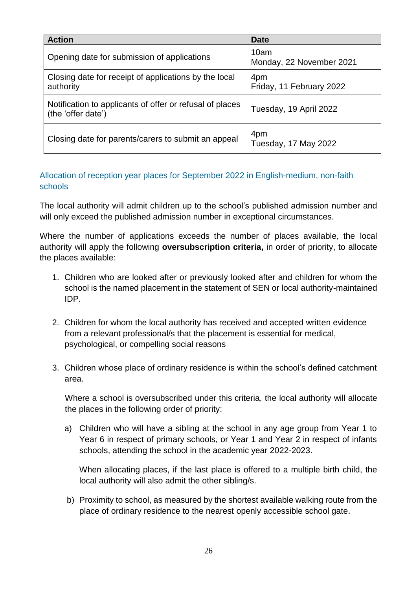| <b>Action</b>                                                                  | <b>Date</b>                      |
|--------------------------------------------------------------------------------|----------------------------------|
| Opening date for submission of applications                                    | 10am<br>Monday, 22 November 2021 |
| Closing date for receipt of applications by the local<br>authority             | 4pm<br>Friday, 11 February 2022  |
| Notification to applicants of offer or refusal of places<br>(the 'offer date') | Tuesday, 19 April 2022           |
| Closing date for parents/carers to submit an appeal                            | 4pm<br>Tuesday, 17 May 2022      |

#### Allocation of reception year places for September 2022 in English-medium, non-faith schools

The local authority will admit children up to the school's published admission number and will only exceed the published admission number in exceptional circumstances.

Where the number of applications exceeds the number of places available, the local authority will apply the following **oversubscription criteria,** in order of priority, to allocate the places available:

- 1. Children who are looked after or previously looked after and children for whom the school is the named placement in the statement of SEN or local authority-maintained IDP.
- 2. Children for whom the local authority has received and accepted written evidence from a relevant professional/s that the placement is essential for medical, psychological, or compelling social reasons
- 3. Children whose place of ordinary residence is within the school's defined catchment area.

Where a school is oversubscribed under this criteria, the local authority will allocate the places in the following order of priority:

a) Children who will have a sibling at the school in any age group from Year 1 to Year 6 in respect of primary schools, or Year 1 and Year 2 in respect of infants schools, attending the school in the academic year 2022-2023.

When allocating places, if the last place is offered to a multiple birth child, the local authority will also admit the other sibling/s.

b) Proximity to school, as measured by the shortest available walking route from the place of ordinary residence to the nearest openly accessible school gate.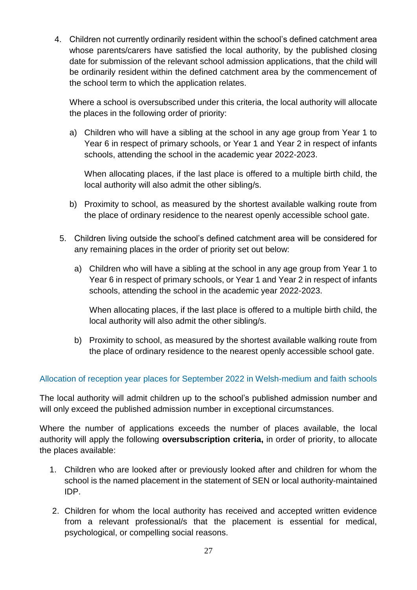4. Children not currently ordinarily resident within the school's defined catchment area whose parents/carers have satisfied the local authority, by the published closing date for submission of the relevant school admission applications, that the child will be ordinarily resident within the defined catchment area by the commencement of the school term to which the application relates.

Where a school is oversubscribed under this criteria, the local authority will allocate the places in the following order of priority:

a) Children who will have a sibling at the school in any age group from Year 1 to Year 6 in respect of primary schools, or Year 1 and Year 2 in respect of infants schools, attending the school in the academic year 2022-2023.

When allocating places, if the last place is offered to a multiple birth child, the local authority will also admit the other sibling/s.

- b) Proximity to school, as measured by the shortest available walking route from the place of ordinary residence to the nearest openly accessible school gate.
- 5. Children living outside the school's defined catchment area will be considered for any remaining places in the order of priority set out below:
	- a) Children who will have a sibling at the school in any age group from Year 1 to Year 6 in respect of primary schools, or Year 1 and Year 2 in respect of infants schools, attending the school in the academic year 2022-2023.

When allocating places, if the last place is offered to a multiple birth child, the local authority will also admit the other sibling/s.

b) Proximity to school, as measured by the shortest available walking route from the place of ordinary residence to the nearest openly accessible school gate.

#### Allocation of reception year places for September 2022 in Welsh-medium and faith schools

The local authority will admit children up to the school's published admission number and will only exceed the published admission number in exceptional circumstances.

Where the number of applications exceeds the number of places available, the local authority will apply the following **oversubscription criteria,** in order of priority, to allocate the places available:

- 1. Children who are looked after or previously looked after and children for whom the school is the named placement in the statement of SEN or local authority-maintained IDP.
- 2. Children for whom the local authority has received and accepted written evidence from a relevant professional/s that the placement is essential for medical, psychological, or compelling social reasons.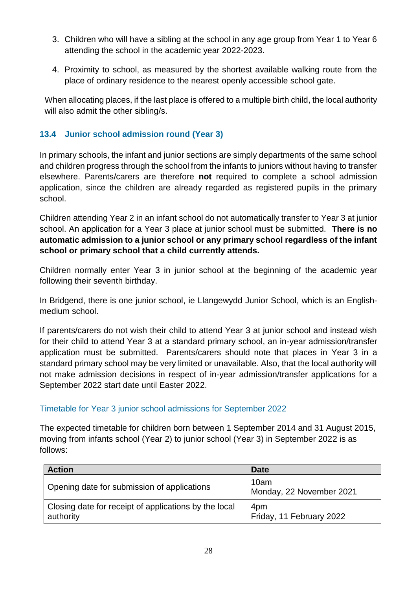- 3. Children who will have a sibling at the school in any age group from Year 1 to Year 6 attending the school in the academic year 2022-2023.
- 4. Proximity to school, as measured by the shortest available walking route from the place of ordinary residence to the nearest openly accessible school gate.

When allocating places, if the last place is offered to a multiple birth child, the local authority will also admit the other sibling/s.

## <span id="page-27-0"></span>**13.4 Junior school admission round (Year 3)**

In primary schools, the infant and junior sections are simply departments of the same school and children progress through the school from the infants to juniors without having to transfer elsewhere. Parents/carers are therefore **not** required to complete a school admission application, since the children are already regarded as registered pupils in the primary school.

Children attending Year 2 in an infant school do not automatically transfer to Year 3 at junior school. An application for a Year 3 place at junior school must be submitted. **There is no automatic admission to a junior school or any primary school regardless of the infant school or primary school that a child currently attends.**

Children normally enter Year 3 in junior school at the beginning of the academic year following their seventh birthday.

In Bridgend, there is one junior school, ie Llangewydd Junior School, which is an Englishmedium school.

If parents/carers do not wish their child to attend Year 3 at junior school and instead wish for their child to attend Year 3 at a standard primary school, an in-year admission/transfer application must be submitted. Parents/carers should note that places in Year 3 in a standard primary school may be very limited or unavailable. Also, that the local authority will not make admission decisions in respect of in-year admission/transfer applications for a September 2022 start date until Easter 2022.

## Timetable for Year 3 junior school admissions for September 2022

The expected timetable for children born between 1 September 2014 and 31 August 2015, moving from infants school (Year 2) to junior school (Year 3) in September 2022 is as follows:

| <b>Action</b>                                                      | <b>Date</b>                      |
|--------------------------------------------------------------------|----------------------------------|
| Opening date for submission of applications                        | 10am<br>Monday, 22 November 2021 |
| Closing date for receipt of applications by the local<br>authority | 4pm<br>Friday, 11 February 2022  |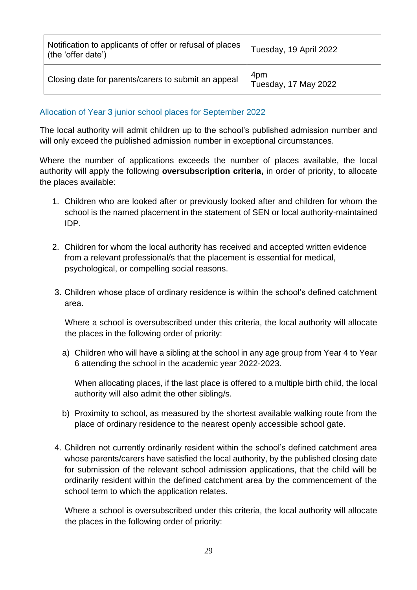| Notification to applicants of offer or refusal of places<br>(the 'offer date') | Tuesday, 19 April 2022      |
|--------------------------------------------------------------------------------|-----------------------------|
| Closing date for parents/carers to submit an appeal                            | 4pm<br>Tuesday, 17 May 2022 |

Allocation of Year 3 junior school places for September 2022

The local authority will admit children up to the school's published admission number and will only exceed the published admission number in exceptional circumstances.

Where the number of applications exceeds the number of places available, the local authority will apply the following **oversubscription criteria,** in order of priority, to allocate the places available:

- 1. Children who are looked after or previously looked after and children for whom the school is the named placement in the statement of SEN or local authority-maintained IDP.
- 2. Children for whom the local authority has received and accepted written evidence from a relevant professional/s that the placement is essential for medical, psychological, or compelling social reasons.
- 3. Children whose place of ordinary residence is within the school's defined catchment area.

Where a school is oversubscribed under this criteria, the local authority will allocate the places in the following order of priority:

a) Children who will have a sibling at the school in any age group from Year 4 to Year 6 attending the school in the academic year 2022-2023.

When allocating places, if the last place is offered to a multiple birth child, the local authority will also admit the other sibling/s.

- b) Proximity to school, as measured by the shortest available walking route from the place of ordinary residence to the nearest openly accessible school gate.
- 4. Children not currently ordinarily resident within the school's defined catchment area whose parents/carers have satisfied the local authority, by the published closing date for submission of the relevant school admission applications, that the child will be ordinarily resident within the defined catchment area by the commencement of the school term to which the application relates.

Where a school is oversubscribed under this criteria, the local authority will allocate the places in the following order of priority: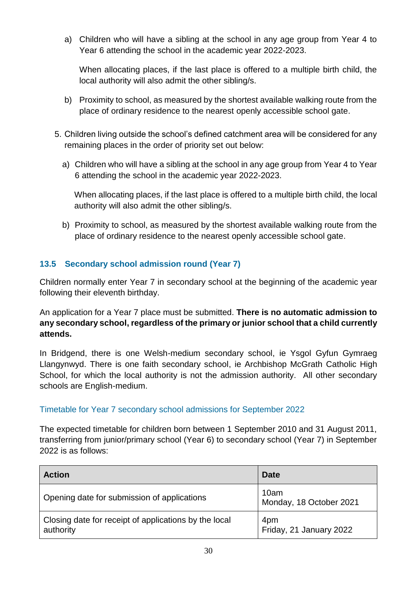a) Children who will have a sibling at the school in any age group from Year 4 to Year 6 attending the school in the academic year 2022-2023.

When allocating places, if the last place is offered to a multiple birth child, the local authority will also admit the other sibling/s.

- b) Proximity to school, as measured by the shortest available walking route from the place of ordinary residence to the nearest openly accessible school gate.
- 5. Children living outside the school's defined catchment area will be considered for any remaining places in the order of priority set out below:
	- a) Children who will have a sibling at the school in any age group from Year 4 to Year 6 attending the school in the academic year 2022-2023.

When allocating places, if the last place is offered to a multiple birth child, the local authority will also admit the other sibling/s.

b) Proximity to school, as measured by the shortest available walking route from the place of ordinary residence to the nearest openly accessible school gate.

## <span id="page-29-0"></span>**13.5 Secondary school admission round (Year 7)**

Children normally enter Year 7 in secondary school at the beginning of the academic year following their eleventh birthday.

An application for a Year 7 place must be submitted. **There is no automatic admission to any secondary school, regardless of the primary or junior school that a child currently attends.**

In Bridgend, there is one Welsh-medium secondary school, ie Ysgol Gyfun Gymraeg Llangynwyd. There is one faith secondary school, ie Archbishop McGrath Catholic High School, for which the local authority is not the admission authority. All other secondary schools are English-medium.

#### Timetable for Year 7 secondary school admissions for September 2022

The expected timetable for children born between 1 September 2010 and 31 August 2011, transferring from junior/primary school (Year 6) to secondary school (Year 7) in September 2022 is as follows:

| <b>Action</b>                                                      | <b>Date</b>                     |
|--------------------------------------------------------------------|---------------------------------|
| Opening date for submission of applications                        | 10am<br>Monday, 18 October 2021 |
| Closing date for receipt of applications by the local<br>authority | 4pm<br>Friday, 21 January 2022  |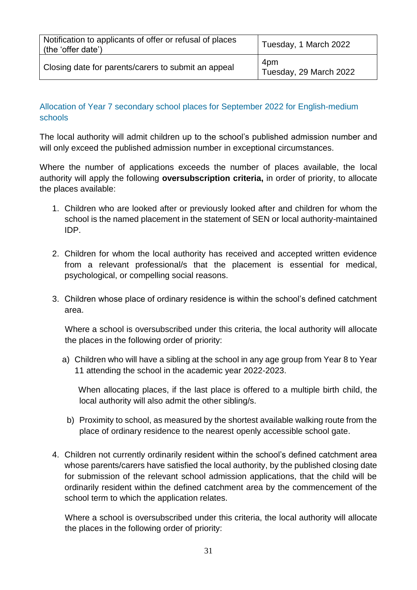| Notification to applicants of offer or refusal of places<br>(the 'offer date') | Tuesday, 1 March 2022         |
|--------------------------------------------------------------------------------|-------------------------------|
| Closing date for parents/carers to submit an appeal                            | 4pm<br>Tuesday, 29 March 2022 |

## Allocation of Year 7 secondary school places for September 2022 for English-medium schools

The local authority will admit children up to the school's published admission number and will only exceed the published admission number in exceptional circumstances.

Where the number of applications exceeds the number of places available, the local authority will apply the following **oversubscription criteria,** in order of priority, to allocate the places available:

- 1. Children who are looked after or previously looked after and children for whom the school is the named placement in the statement of SEN or local authority-maintained IDP.
- 2. Children for whom the local authority has received and accepted written evidence from a relevant professional/s that the placement is essential for medical, psychological, or compelling social reasons.
- 3. Children whose place of ordinary residence is within the school's defined catchment area.

Where a school is oversubscribed under this criteria, the local authority will allocate the places in the following order of priority:

a) Children who will have a sibling at the school in any age group from Year 8 to Year 11 attending the school in the academic year 2022-2023.

 When allocating places, if the last place is offered to a multiple birth child, the local authority will also admit the other sibling/s.

- b) Proximity to school, as measured by the shortest available walking route from the place of ordinary residence to the nearest openly accessible school gate.
- 4. Children not currently ordinarily resident within the school's defined catchment area whose parents/carers have satisfied the local authority, by the published closing date for submission of the relevant school admission applications, that the child will be ordinarily resident within the defined catchment area by the commencement of the school term to which the application relates.

Where a school is oversubscribed under this criteria, the local authority will allocate the places in the following order of priority: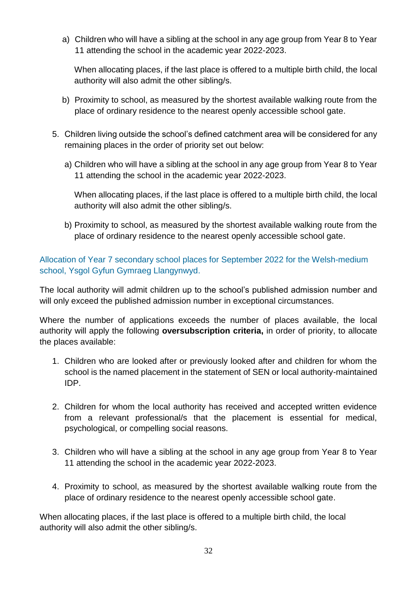a) Children who will have a sibling at the school in any age group from Year 8 to Year 11 attending the school in the academic year 2022-2023.

When allocating places, if the last place is offered to a multiple birth child, the local authority will also admit the other sibling/s.

- b) Proximity to school, as measured by the shortest available walking route from the place of ordinary residence to the nearest openly accessible school gate.
- 5. Children living outside the school's defined catchment area will be considered for any remaining places in the order of priority set out below:
	- a) Children who will have a sibling at the school in any age group from Year 8 to Year 11 attending the school in the academic year 2022-2023.

When allocating places, if the last place is offered to a multiple birth child, the local authority will also admit the other sibling/s.

b) Proximity to school, as measured by the shortest available walking route from the place of ordinary residence to the nearest openly accessible school gate.

Allocation of Year 7 secondary school places for September 2022 for the Welsh-medium school, Ysgol Gyfun Gymraeg Llangynwyd.

The local authority will admit children up to the school's published admission number and will only exceed the published admission number in exceptional circumstances.

Where the number of applications exceeds the number of places available, the local authority will apply the following **oversubscription criteria,** in order of priority, to allocate the places available:

- 1. Children who are looked after or previously looked after and children for whom the school is the named placement in the statement of SEN or local authority-maintained IDP.
- 2. Children for whom the local authority has received and accepted written evidence from a relevant professional/s that the placement is essential for medical, psychological, or compelling social reasons.
- 3. Children who will have a sibling at the school in any age group from Year 8 to Year 11 attending the school in the academic year 2022-2023.
- 4. Proximity to school, as measured by the shortest available walking route from the place of ordinary residence to the nearest openly accessible school gate.

When allocating places, if the last place is offered to a multiple birth child, the local authority will also admit the other sibling/s.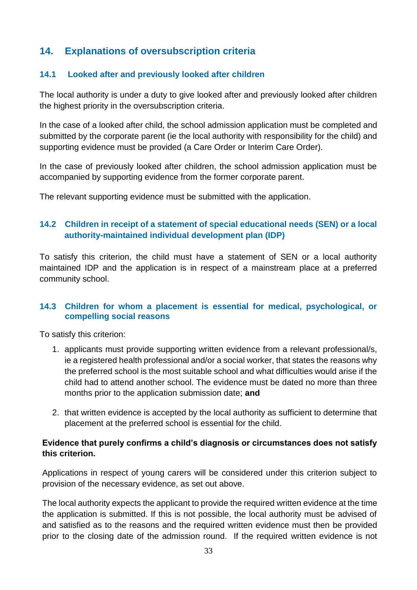# <span id="page-32-1"></span><span id="page-32-0"></span>**14. Explanations of oversubscription criteria**

#### **14.1 Looked after and previously looked after children**

The local authority is under a duty to give looked after and previously looked after children the highest priority in the oversubscription criteria.

In the case of a looked after child, the school admission application must be completed and submitted by the corporate parent (ie the local authority with responsibility for the child) and supporting evidence must be provided (a Care Order or Interim Care Order).

In the case of previously looked after children, the school admission application must be accompanied by supporting evidence from the former corporate parent.

<span id="page-32-2"></span>The relevant supporting evidence must be submitted with the application.

#### **14.2 Children in receipt of a statement of special educational needs (SEN) or a local authority-maintained individual development plan (IDP)**

To satisfy this criterion, the child must have a statement of SEN or a local authority maintained IDP and the application is in respect of a mainstream place at a preferred community school.

#### <span id="page-32-3"></span>**14.3 Children for whom a placement is essential for medical, psychological, or compelling social reasons**

To satisfy this criterion:

- 1. applicants must provide supporting written evidence from a relevant professional/s, ie a registered health professional and/or a social worker, that states the reasons why the preferred school is the most suitable school and what difficulties would arise if the child had to attend another school. The evidence must be dated no more than three months prior to the application submission date; **and**
- 2. that written evidence is accepted by the local authority as sufficient to determine that placement at the preferred school is essential for the child.

#### **Evidence that purely confirms a child's diagnosis or circumstances does not satisfy this criterion.**

Applications in respect of young carers will be considered under this criterion subject to provision of the necessary evidence, as set out above.

The local authority expects the applicant to provide the required written evidence at the time the application is submitted. If this is not possible, the local authority must be advised of and satisfied as to the reasons and the required written evidence must then be provided prior to the closing date of the admission round. If the required written evidence is not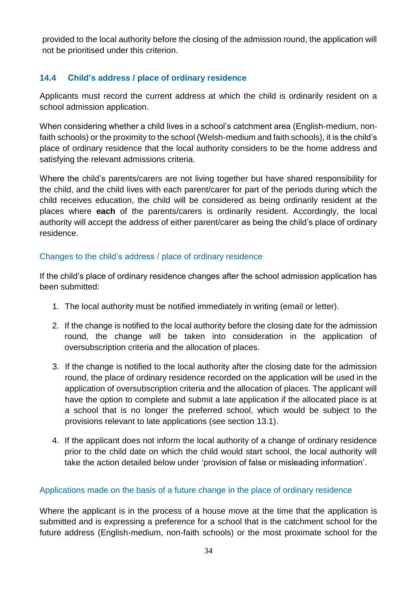provided to the local authority before the closing of the admission round, the application will not be prioritised under this criterion.

# <span id="page-33-0"></span>**14.4 Child's address / place of ordinary residence**

Applicants must record the current address at which the child is ordinarily resident on a school admission application.

When considering whether a child lives in a school's catchment area (English-medium, nonfaith schools) or the proximity to the school (Welsh-medium and faith schools), it is the child's place of ordinary residence that the local authority considers to be the home address and satisfying the relevant admissions criteria.

Where the child's parents/carers are not living together but have shared responsibility for the child, and the child lives with each parent/carer for part of the periods during which the child receives education, the child will be considered as being ordinarily resident at the places where **each** of the parents/carers is ordinarily resident. Accordingly, the local authority will accept the address of either parent/carer as being the child's place of ordinary residence.

#### Changes to the child's address / place of ordinary residence

If the child's place of ordinary residence changes after the school admission application has been submitted:

- 1. The local authority must be notified immediately in writing (email or letter).
- 2. If the change is notified to the local authority before the closing date for the admission round, the change will be taken into consideration in the application of oversubscription criteria and the allocation of places.
- 3. If the change is notified to the local authority after the closing date for the admission round, the place of ordinary residence recorded on the application will be used in the application of oversubscription criteria and the allocation of places. The applicant will have the option to complete and submit a late application if the allocated place is at a school that is no longer the preferred school, which would be subject to the provisions relevant to late applications (see section 13.1).
- 4. If the applicant does not inform the local authority of a change of ordinary residence prior to the child date on which the child would start school, the local authority will take the action detailed below under 'provision of false or misleading information'.

#### Applications made on the basis of a future change in the place of ordinary residence

Where the applicant is in the process of a house move at the time that the application is submitted and is expressing a preference for a school that is the catchment school for the future address (English-medium, non-faith schools) or the most proximate school for the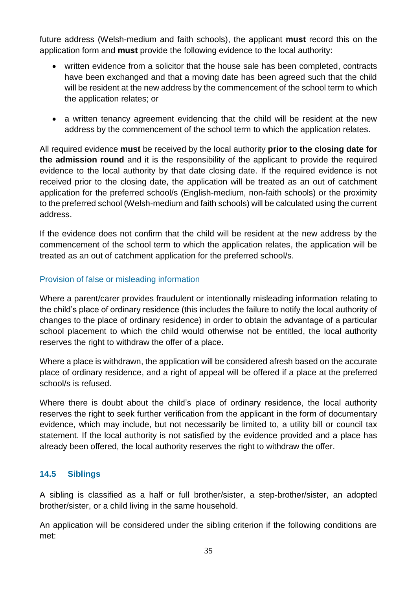future address (Welsh-medium and faith schools), the applicant **must** record this on the application form and **must** provide the following evidence to the local authority:

- written evidence from a solicitor that the house sale has been completed, contracts have been exchanged and that a moving date has been agreed such that the child will be resident at the new address by the commencement of the school term to which the application relates; or
- a written tenancy agreement evidencing that the child will be resident at the new address by the commencement of the school term to which the application relates.

All required evidence **must** be received by the local authority **prior to the closing date for the admission round** and it is the responsibility of the applicant to provide the required evidence to the local authority by that date closing date. If the required evidence is not received prior to the closing date, the application will be treated as an out of catchment application for the preferred school/s (English-medium, non-faith schools) or the proximity to the preferred school (Welsh-medium and faith schools) will be calculated using the current address.

If the evidence does not confirm that the child will be resident at the new address by the commencement of the school term to which the application relates, the application will be treated as an out of catchment application for the preferred school/s.

#### Provision of false or misleading information

Where a parent/carer provides fraudulent or intentionally misleading information relating to the child's place of ordinary residence (this includes the failure to notify the local authority of changes to the place of ordinary residence) in order to obtain the advantage of a particular school placement to which the child would otherwise not be entitled, the local authority reserves the right to withdraw the offer of a place.

Where a place is withdrawn, the application will be considered afresh based on the accurate place of ordinary residence, and a right of appeal will be offered if a place at the preferred school/s is refused.

Where there is doubt about the child's place of ordinary residence, the local authority reserves the right to seek further verification from the applicant in the form of documentary evidence, which may include, but not necessarily be limited to, a utility bill or council tax statement. If the local authority is not satisfied by the evidence provided and a place has already been offered, the local authority reserves the right to withdraw the offer.

#### <span id="page-34-0"></span>**14.5 Siblings**

A sibling is classified as a half or full brother/sister, a step-brother/sister, an adopted brother/sister, or a child living in the same household.

An application will be considered under the sibling criterion if the following conditions are met: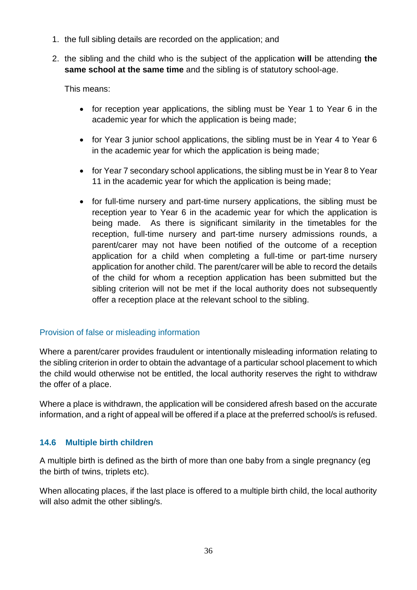- 1. the full sibling details are recorded on the application; and
- 2. the sibling and the child who is the subject of the application **will** be attending **the same school at the same time** and the sibling is of statutory school-age.

This means:

- for reception year applications, the sibling must be Year 1 to Year 6 in the academic year for which the application is being made;
- for Year 3 junior school applications, the sibling must be in Year 4 to Year 6 in the academic year for which the application is being made;
- for Year 7 secondary school applications, the sibling must be in Year 8 to Year 11 in the academic year for which the application is being made;
- for full-time nursery and part-time nursery applications, the sibling must be reception year to Year 6 in the academic year for which the application is being made. As there is significant similarity in the timetables for the reception, full-time nursery and part-time nursery admissions rounds, a parent/carer may not have been notified of the outcome of a reception application for a child when completing a full-time or part-time nursery application for another child. The parent/carer will be able to record the details of the child for whom a reception application has been submitted but the sibling criterion will not be met if the local authority does not subsequently offer a reception place at the relevant school to the sibling.

#### Provision of false or misleading information

Where a parent/carer provides fraudulent or intentionally misleading information relating to the sibling criterion in order to obtain the advantage of a particular school placement to which the child would otherwise not be entitled, the local authority reserves the right to withdraw the offer of a place.

Where a place is withdrawn, the application will be considered afresh based on the accurate information, and a right of appeal will be offered if a place at the preferred school/s is refused.

## <span id="page-35-0"></span>**14.6 Multiple birth children**

A multiple birth is defined as the birth of more than one baby from a single pregnancy (eg the birth of twins, triplets etc).

When allocating places, if the last place is offered to a multiple birth child, the local authority will also admit the other sibling/s.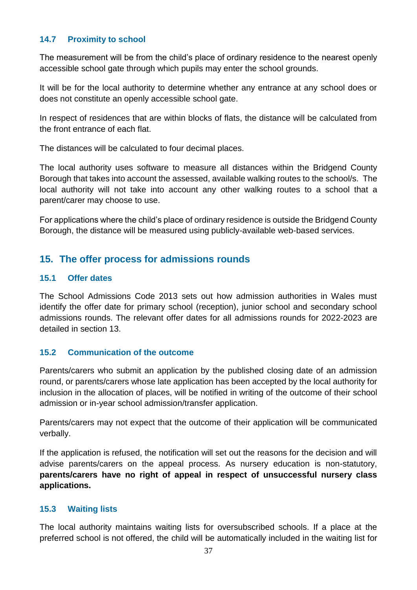#### <span id="page-36-0"></span>**14.7 Proximity to school**

The measurement will be from the child's place of ordinary residence to the nearest openly accessible school gate through which pupils may enter the school grounds.

It will be for the local authority to determine whether any entrance at any school does or does not constitute an openly accessible school gate.

In respect of residences that are within blocks of flats, the distance will be calculated from the front entrance of each flat.

The distances will be calculated to four decimal places.

The local authority uses software to measure all distances within the Bridgend County Borough that takes into account the assessed, available walking routes to the school/s. The local authority will not take into account any other walking routes to a school that a parent/carer may choose to use.

For applications where the child's place of ordinary residence is outside the Bridgend County Borough, the distance will be measured using publicly-available web-based services.

# <span id="page-36-1"></span>**15. The offer process for admissions rounds**

#### <span id="page-36-2"></span>**15.1 Offer dates**

The School Admissions Code 2013 sets out how admission authorities in Wales must identify the offer date for primary school (reception), junior school and secondary school admissions rounds. The relevant offer dates for all admissions rounds for 2022-2023 are detailed in section 13.

#### <span id="page-36-3"></span>**15.2 Communication of the outcome**

Parents/carers who submit an application by the published closing date of an admission round, or parents/carers whose late application has been accepted by the local authority for inclusion in the allocation of places, will be notified in writing of the outcome of their school admission or in-year school admission/transfer application.

Parents/carers may not expect that the outcome of their application will be communicated verbally.

If the application is refused, the notification will set out the reasons for the decision and will advise parents/carers on the appeal process. As nursery education is non-statutory, **parents/carers have no right of appeal in respect of unsuccessful nursery class applications.** 

#### <span id="page-36-4"></span>**15.3 Waiting lists**

The local authority maintains waiting lists for oversubscribed schools. If a place at the preferred school is not offered, the child will be automatically included in the waiting list for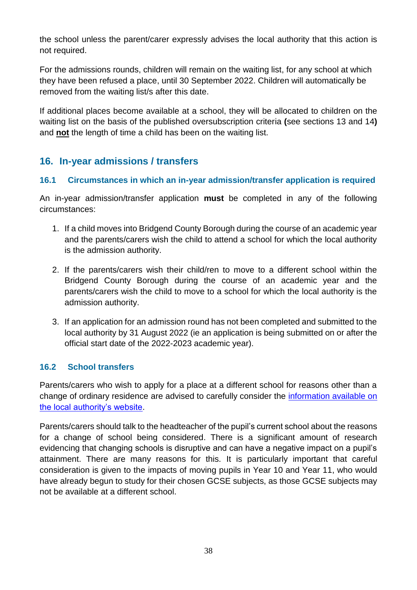the school unless the parent/carer expressly advises the local authority that this action is not required.

For the admissions rounds, children will remain on the waiting list, for any school at which they have been refused a place, until 30 September 2022. Children will automatically be removed from the waiting list/s after this date.

If additional places become available at a school, they will be allocated to children on the waiting list on the basis of the published oversubscription criteria **(**see sections 13 and 14**)** and **not** the length of time a child has been on the waiting list.

# <span id="page-37-0"></span>**16. In-year admissions / transfers**

#### <span id="page-37-1"></span>**16.1 Circumstances in which an in-year admission/transfer application is required**

An in-year admission/transfer application **must** be completed in any of the following circumstances:

- 1. If a child moves into Bridgend County Borough during the course of an academic year and the parents/carers wish the child to attend a school for which the local authority is the admission authority.
- 2. If the parents/carers wish their child/ren to move to a different school within the Bridgend County Borough during the course of an academic year and the parents/carers wish the child to move to a school for which the local authority is the admission authority.
- 3. If an application for an admission round has not been completed and submitted to the local authority by 31 August 2022 (ie an application is being submitted on or after the official start date of the 2022-2023 academic year).

## <span id="page-37-2"></span>**16.2 School transfers**

Parents/carers who wish to apply for a place at a different school for reasons other than a change of ordinary residence are advised to carefully consider the [information available on](https://www.bridgend.gov.uk/residents/schools-and-education/school-transfer-requests/)  [the local authority's website.](https://www.bridgend.gov.uk/residents/schools-and-education/school-transfer-requests/)

Parents/carers should talk to the headteacher of the pupil's current school about the reasons for a change of school being considered. There is a significant amount of research evidencing that changing schools is disruptive and can have a negative impact on a pupil's attainment. There are many reasons for this. It is particularly important that careful consideration is given to the impacts of moving pupils in Year 10 and Year 11, who would have already begun to study for their chosen GCSE subjects, as those GCSE subjects may not be available at a different school.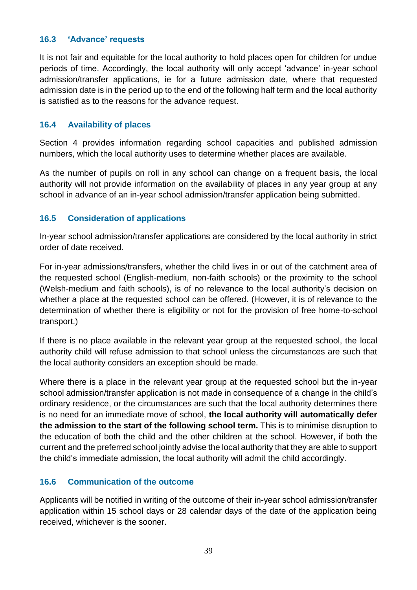#### <span id="page-38-0"></span>**16.3 'Advance' requests**

It is not fair and equitable for the local authority to hold places open for children for undue periods of time. Accordingly, the local authority will only accept 'advance' in-year school admission/transfer applications, ie for a future admission date, where that requested admission date is in the period up to the end of the following half term and the local authority is satisfied as to the reasons for the advance request.

#### <span id="page-38-1"></span>**16.4 Availability of places**

Section 4 provides information regarding school capacities and published admission numbers, which the local authority uses to determine whether places are available.

As the number of pupils on roll in any school can change on a frequent basis, the local authority will not provide information on the availability of places in any year group at any school in advance of an in-year school admission/transfer application being submitted.

#### <span id="page-38-2"></span>**16.5 Consideration of applications**

In-year school admission/transfer applications are considered by the local authority in strict order of date received.

For in-year admissions/transfers, whether the child lives in or out of the catchment area of the requested school (English-medium, non-faith schools) or the proximity to the school (Welsh-medium and faith schools), is of no relevance to the local authority's decision on whether a place at the requested school can be offered. (However, it is of relevance to the determination of whether there is eligibility or not for the provision of free home-to-school transport.)

If there is no place available in the relevant year group at the requested school, the local authority child will refuse admission to that school unless the circumstances are such that the local authority considers an exception should be made.

Where there is a place in the relevant year group at the requested school but the in-year school admission/transfer application is not made in consequence of a change in the child's ordinary residence, or the circumstances are such that the local authority determines there is no need for an immediate move of school, **the local authority will automatically defer the admission to the start of the following school term.** This is to minimise disruption to the education of both the child and the other children at the school. However, if both the current and the preferred school jointly advise the local authority that they are able to support the child's immediate admission, the local authority will admit the child accordingly.

#### <span id="page-38-3"></span>**16.6 Communication of the outcome**

Applicants will be notified in writing of the outcome of their in-year school admission/transfer application within 15 school days or 28 calendar days of the date of the application being received, whichever is the sooner.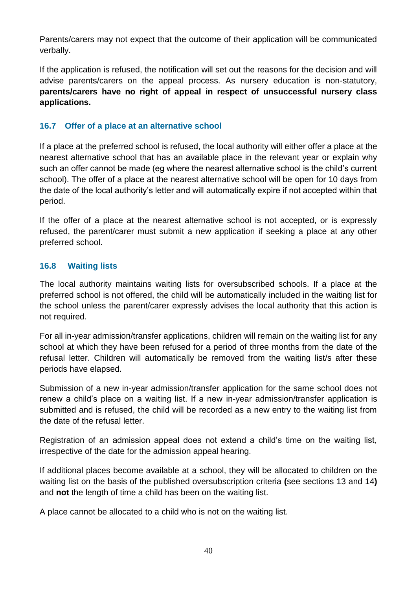Parents/carers may not expect that the outcome of their application will be communicated verbally.

If the application is refused, the notification will set out the reasons for the decision and will advise parents/carers on the appeal process. As nursery education is non-statutory, **parents/carers have no right of appeal in respect of unsuccessful nursery class applications.** 

#### <span id="page-39-0"></span>**16.7 Offer of a place at an alternative school**

If a place at the preferred school is refused, the local authority will either offer a place at the nearest alternative school that has an available place in the relevant year or explain why such an offer cannot be made (eg where the nearest alternative school is the child's current school). The offer of a place at the nearest alternative school will be open for 10 days from the date of the local authority's letter and will automatically expire if not accepted within that period.

If the offer of a place at the nearest alternative school is not accepted, or is expressly refused, the parent/carer must submit a new application if seeking a place at any other preferred school.

#### <span id="page-39-1"></span>**16.8 Waiting lists**

The local authority maintains waiting lists for oversubscribed schools. If a place at the preferred school is not offered, the child will be automatically included in the waiting list for the school unless the parent/carer expressly advises the local authority that this action is not required.

For all in-year admission/transfer applications, children will remain on the waiting list for any school at which they have been refused for a period of three months from the date of the refusal letter. Children will automatically be removed from the waiting list/s after these periods have elapsed.

Submission of a new in-year admission/transfer application for the same school does not renew a child's place on a waiting list. If a new in-year admission/transfer application is submitted and is refused, the child will be recorded as a new entry to the waiting list from the date of the refusal letter.

Registration of an admission appeal does not extend a child's time on the waiting list, irrespective of the date for the admission appeal hearing.

If additional places become available at a school, they will be allocated to children on the waiting list on the basis of the published oversubscription criteria **(**see sections 13 and 14**)** and **not** the length of time a child has been on the waiting list.

A place cannot be allocated to a child who is not on the waiting list.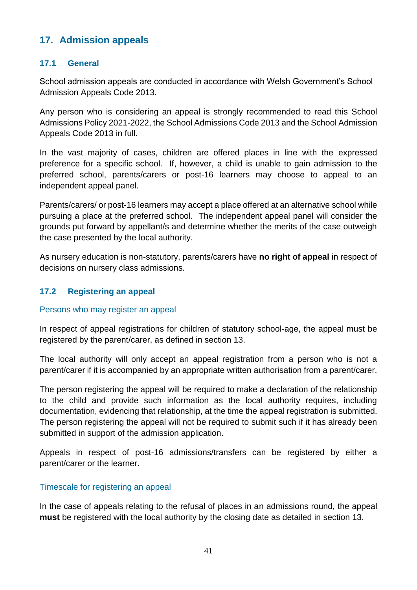# <span id="page-40-1"></span><span id="page-40-0"></span>**17. Admission appeals**

#### **17.1 General**

School admission appeals are conducted in accordance with Welsh Government's School Admission Appeals Code 2013.

Any person who is considering an appeal is strongly recommended to read this School Admissions Policy 2021-2022, the School Admissions Code 2013 and the School Admission Appeals Code 2013 in full.

In the vast majority of cases, children are offered places in line with the expressed preference for a specific school. If, however, a child is unable to gain admission to the preferred school, parents/carers or post-16 learners may choose to appeal to an independent appeal panel.

Parents/carers/ or post-16 learners may accept a place offered at an alternative school while pursuing a place at the preferred school. The independent appeal panel will consider the grounds put forward by appellant/s and determine whether the merits of the case outweigh the case presented by the local authority.

As nursery education is non-statutory, parents/carers have **no right of appeal** in respect of decisions on nursery class admissions.

#### <span id="page-40-2"></span>**17.2 Registering an appeal**

#### Persons who may register an appeal

In respect of appeal registrations for children of statutory school-age, the appeal must be registered by the parent/carer, as defined in section 13.

The local authority will only accept an appeal registration from a person who is not a parent/carer if it is accompanied by an appropriate written authorisation from a parent/carer.

The person registering the appeal will be required to make a declaration of the relationship to the child and provide such information as the local authority requires, including documentation, evidencing that relationship, at the time the appeal registration is submitted. The person registering the appeal will not be required to submit such if it has already been submitted in support of the admission application.

Appeals in respect of post-16 admissions/transfers can be registered by either a parent/carer or the learner.

#### Timescale for registering an appeal

In the case of appeals relating to the refusal of places in an admissions round, the appeal **must** be registered with the local authority by the closing date as detailed in section 13.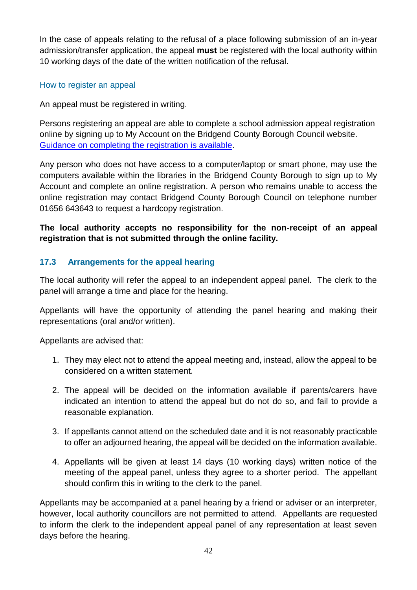In the case of appeals relating to the refusal of a place following submission of an in-year admission/transfer application, the appeal **must** be registered with the local authority within 10 working days of the date of the written notification of the refusal.

#### How to register an appeal

An appeal must be registered in writing.

Persons registering an appeal are able to complete a school admission appeal registration online by signing up to My Account on the Bridgend County Borough Council website. [Guidance on completing the registration is available.](https://www.bridgend.gov.uk/residents/schools-and-education/school-admissions/apply-for-admission-to-school/)

Any person who does not have access to a computer/laptop or smart phone, may use the computers available within the libraries in the Bridgend County Borough to sign up to My Account and complete an online registration. A person who remains unable to access the online registration may contact Bridgend County Borough Council on telephone number 01656 643643 to request a hardcopy registration.

## **The local authority accepts no responsibility for the non-receipt of an appeal registration that is not submitted through the online facility.**

#### <span id="page-41-0"></span>**17.3 Arrangements for the appeal hearing**

The local authority will refer the appeal to an independent appeal panel. The clerk to the panel will arrange a time and place for the hearing.

Appellants will have the opportunity of attending the panel hearing and making their representations (oral and/or written).

Appellants are advised that:

- 1. They may elect not to attend the appeal meeting and, instead, allow the appeal to be considered on a written statement.
- 2. The appeal will be decided on the information available if parents/carers have indicated an intention to attend the appeal but do not do so, and fail to provide a reasonable explanation.
- 3. If appellants cannot attend on the scheduled date and it is not reasonably practicable to offer an adjourned hearing, the appeal will be decided on the information available.
- 4. Appellants will be given at least 14 days (10 working days) written notice of the meeting of the appeal panel, unless they agree to a shorter period. The appellant should confirm this in writing to the clerk to the panel.

Appellants may be accompanied at a panel hearing by a friend or adviser or an interpreter, however, local authority councillors are not permitted to attend. Appellants are requested to inform the clerk to the independent appeal panel of any representation at least seven days before the hearing.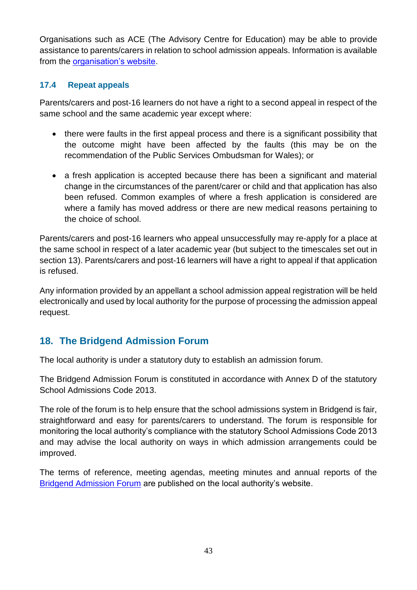Organisations such as ACE (The Advisory Centre for Education) may be able to provide assistance to parents/carers in relation to school admission appeals. Information is available from the [organisation's website.](http://www.ace-ed.org.uk/)

#### <span id="page-42-0"></span>**17.4 Repeat appeals**

Parents/carers and post-16 learners do not have a right to a second appeal in respect of the same school and the same academic year except where:

- there were faults in the first appeal process and there is a significant possibility that the outcome might have been affected by the faults (this may be on the recommendation of the Public Services Ombudsman for Wales); or
- a fresh application is accepted because there has been a significant and material change in the circumstances of the parent/carer or child and that application has also been refused. Common examples of where a fresh application is considered are where a family has moved address or there are new medical reasons pertaining to the choice of school.

Parents/carers and post-16 learners who appeal unsuccessfully may re-apply for a place at the same school in respect of a later academic year (but subject to the timescales set out in section 13). Parents/carers and post-16 learners will have a right to appeal if that application is refused.

Any information provided by an appellant a school admission appeal registration will be held electronically and used by local authority for the purpose of processing the admission appeal request.

# <span id="page-42-1"></span>**18. The Bridgend Admission Forum**

The local authority is under a statutory duty to establish an admission forum.

The Bridgend Admission Forum is constituted in accordance with Annex D of the statutory School Admissions Code 2013.

The role of the forum is to help ensure that the school admissions system in Bridgend is fair, straightforward and easy for parents/carers to understand. The forum is responsible for monitoring the local authority's compliance with the statutory School Admissions Code 2013 and may advise the local authority on ways in which admission arrangements could be improved.

The terms of reference, meeting agendas, meeting minutes and annual reports of the [Bridgend Admission Forum](https://www.bridgend.gov.uk/residents/schools-and-education/school-admissions/school-admissions-forum/) are published on the local authority's website.